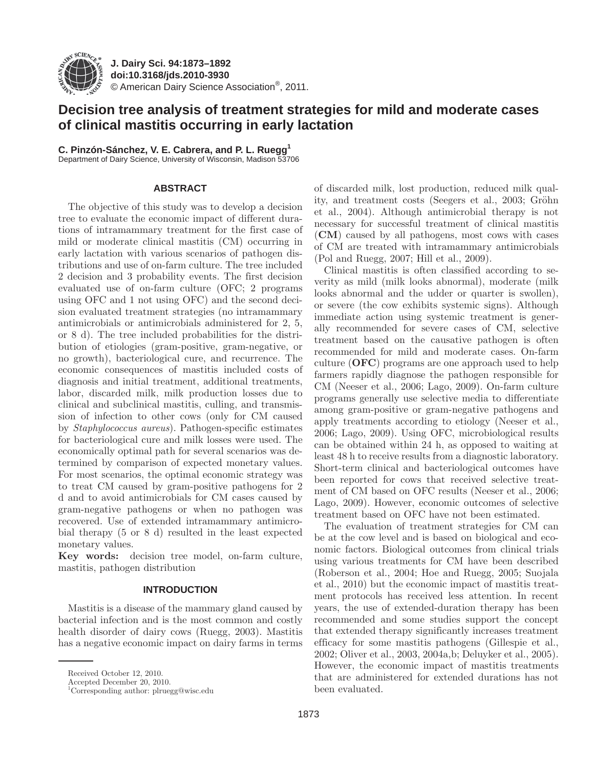

**J. Dairy Sci. 94 :1873–1892 doi: 10.3168/jds.2010-3930**  © American Dairy Science Association®, 2011 .

# **Decision tree analysis of treatment strategies for mild and moderate cases of clinical mastitis occurring in early lactation**

**C. Pinzón-Sánchez, V. E. Cabrera, and P. L. Ruegg<sup>1</sup>** 

Department of Dairy Science, University of Wisconsin, Madison 53706

## **ABSTRACT**

The objective of this study was to develop a decision tree to evaluate the economic impact of different durations of intramammary treatment for the first case of mild or moderate clinical mastitis (CM) occurring in early lactation with various scenarios of pathogen distributions and use of on-farm culture. The tree included 2 decision and 3 probability events. The first decision evaluated use of on-farm culture (OFC; 2 programs using OFC and 1 not using OFC) and the second decision evaluated treatment strategies (no intramammary antimicrobials or antimicrobials administered for 2, 5, or 8 d). The tree included probabilities for the distribution of etiologies (gram-positive, gram-negative, or no growth), bacteriological cure, and recurrence. The economic consequences of mastitis included costs of diagnosis and initial treatment, additional treatments, labor, discarded milk, milk production losses due to clinical and subclinical mastitis, culling, and transmission of infection to other cows (only for CM caused by *Staphylococcus aureus*). Pathogen-specific estimates for bacteriological cure and milk losses were used. The economically optimal path for several scenarios was determined by comparison of expected monetary values. For most scenarios, the optimal economic strategy was to treat CM caused by gram-positive pathogens for 2 d and to avoid antimicrobials for CM cases caused by gram-negative pathogens or when no pathogen was recovered. Use of extended intramammary antimicrobial therapy (5 or 8 d) resulted in the least expected monetary values.

**Key words:** decision tree model, on-farm culture, mastitis, pathogen distribution

## **INTRODUCTION**

Mastitis is a disease of the mammary gland caused by bacterial infection and is the most common and costly health disorder of dairy cows (Ruegg, 2003). Mastitis has a negative economic impact on dairy farms in terms of discarded milk, lost production, reduced milk quality, and treatment costs (Seegers et al., 2003; Gröhn et al., 2004). Although antimicrobial therapy is not necessary for successful treatment of clinical mastitis (**CM**) caused by all pathogens, most cows with cases of CM are treated with intramammary antimicrobials (Pol and Ruegg, 2007; Hill et al., 2009).

Clinical mastitis is often classified according to severity as mild (milk looks abnormal), moderate (milk looks abnormal and the udder or quarter is swollen), or severe (the cow exhibits systemic signs). Although immediate action using systemic treatment is generally recommended for severe cases of CM, selective treatment based on the causative pathogen is often recommended for mild and moderate cases. On-farm culture (**OFC**) programs are one approach used to help farmers rapidly diagnose the pathogen responsible for CM (Neeser et al., 2006; Lago, 2009). On-farm culture programs generally use selective media to differentiate among gram-positive or gram-negative pathogens and apply treatments according to etiology (Neeser et al., 2006; Lago, 2009). Using OFC, microbiological results can be obtained within 24 h, as opposed to waiting at least 48 h to receive results from a diagnostic laboratory. Short-term clinical and bacteriological outcomes have been reported for cows that received selective treatment of CM based on OFC results (Neeser et al., 2006; Lago, 2009). However, economic outcomes of selective treatment based on OFC have not been estimated.

The evaluation of treatment strategies for CM can be at the cow level and is based on biological and economic factors. Biological outcomes from clinical trials using various treatments for CM have been described (Roberson et al., 2004; Hoe and Ruegg, 2005; Suojala et al., 2010) but the economic impact of mastitis treatment protocols has received less attention. In recent years, the use of extended-duration therapy has been recommended and some studies support the concept that extended therapy significantly increases treatment efficacy for some mastitis pathogens (Gillespie et al., 2002; Oliver et al., 2003, 2004a,b; Deluyker et al., 2005). However, the economic impact of mastitis treatments that are administered for extended durations has not been evaluated.

Received October 12, 2010.

Accepted December 20, 2010.

 <sup>1</sup> Corresponding author: plruegg@wisc.edu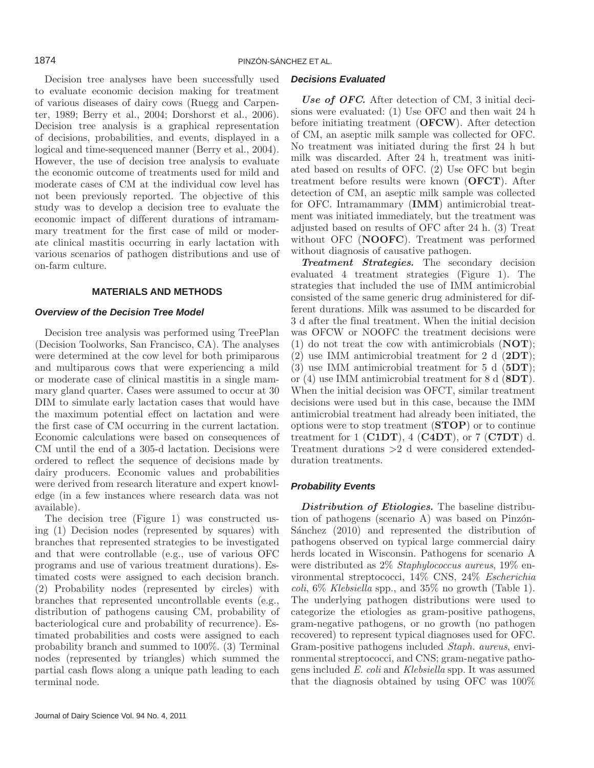Decision tree analyses have been successfully used to evaluate economic decision making for treatment of various diseases of dairy cows (Ruegg and Carpenter, 1989; Berry et al., 2004; Dorshorst et al., 2006). Decision tree analysis is a graphical representation of decisions, probabilities, and events, displayed in a logical and time-sequenced manner (Berry et al., 2004). However, the use of decision tree analysis to evaluate the economic outcome of treatments used for mild and moderate cases of CM at the individual cow level has not been previously reported. The objective of this study was to develop a decision tree to evaluate the economic impact of different durations of intramammary treatment for the first case of mild or moderate clinical mastitis occurring in early lactation with various scenarios of pathogen distributions and use of on-farm culture.

### **MATERIALS AND METHODS**

### *Overview of the Decision Tree Model*

Decision tree analysis was performed using TreePlan (Decision Toolworks, San Francisco, CA). The analyses were determined at the cow level for both primiparous and multiparous cows that were experiencing a mild or moderate case of clinical mastitis in a single mammary gland quarter. Cases were assumed to occur at 30 DIM to simulate early lactation cases that would have the maximum potential effect on lactation and were the first case of CM occurring in the current lactation. Economic calculations were based on consequences of CM until the end of a 305-d lactation. Decisions were ordered to reflect the sequence of decisions made by dairy producers. Economic values and probabilities were derived from research literature and expert knowledge (in a few instances where research data was not available).

The decision tree (Figure 1) was constructed using (1) Decision nodes (represented by squares) with branches that represented strategies to be investigated and that were controllable (e.g., use of various OFC programs and use of various treatment durations). Estimated costs were assigned to each decision branch. (2) Probability nodes (represented by circles) with branches that represented uncontrollable events (e.g., distribution of pathogens causing CM, probability of bacteriological cure and probability of recurrence). Estimated probabilities and costs were assigned to each probability branch and summed to 100%. (3) Terminal nodes (represented by triangles) which summed the partial cash flows along a unique path leading to each terminal node.

#### *Decisions Evaluated*

*Use of OFC.* After detection of CM, 3 initial decisions were evaluated: (1) Use OFC and then wait 24 h before initiating treatment (**OFCW**). After detection of CM, an aseptic milk sample was collected for OFC. No treatment was initiated during the first 24 h but milk was discarded. After 24 h, treatment was initiated based on results of OFC. (2) Use OFC but begin treatment before results were known (**OFCT**). After detection of CM, an aseptic milk sample was collected for OFC. Intramammary (**IMM**) antimicrobial treatment was initiated immediately, but the treatment was adjusted based on results of OFC after 24 h. (3) Treat without OFC (**NOOFC**). Treatment was performed without diagnosis of causative pathogen.

*Treatment Strategies.* The secondary decision evaluated 4 treatment strategies (Figure 1). The strategies that included the use of IMM antimicrobial consisted of the same generic drug administered for different durations. Milk was assumed to be discarded for 3 d after the final treatment. When the initial decision was OFCW or NOOFC the treatment decisions were (1) do not treat the cow with antimicrobials (**NOT**); (2) use IMM antimicrobial treatment for 2 d (**2DT**); (3) use IMM antimicrobial treatment for 5 d (**5DT**); or (4) use IMM antimicrobial treatment for 8 d (**8DT**). When the initial decision was OFCT, similar treatment decisions were used but in this case, because the IMM antimicrobial treatment had already been initiated, the options were to stop treatment (**STOP**) or to continue treatment for 1 (**C1DT**), 4 (**C4DT**), or 7 (**C7DT**) d. Treatment durations >2 d were considered extendedduration treatments.

#### *Probability Events*

*Distribution of Etiologies.* The baseline distribution of pathogens (scenario A) was based on Pinzón-Sánchez (2010) and represented the distribution of pathogens observed on typical large commercial dairy herds located in Wisconsin. Pathogens for scenario A were distributed as 2% *Staphylococcus aureus*, 19% environmental streptococci, 14% CNS, 24% *Escherichia coli*, 6% *Klebsiella* spp., and 35% no growth (Table 1). The underlying pathogen distributions were used to categorize the etiologies as gram-positive pathogens, gram-negative pathogens, or no growth (no pathogen recovered) to represent typical diagnoses used for OFC. Gram-positive pathogens included *Staph. aureus*, environmental streptococci, and CNS; gram-negative pathogens included *E. coli* and *Klebsiella* spp. It was assumed that the diagnosis obtained by using OFC was 100%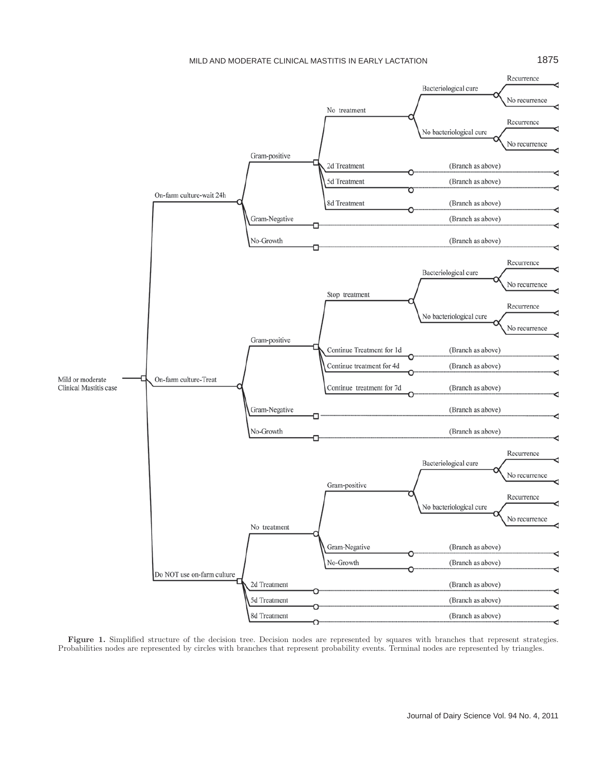



Figure 1. Simplified structure of the decision tree. Decision nodes are represented by squares with branches that represent strategies. Probabilities nodes are represented by circles with branches that represent probability events. Terminal nodes are represented by triangles.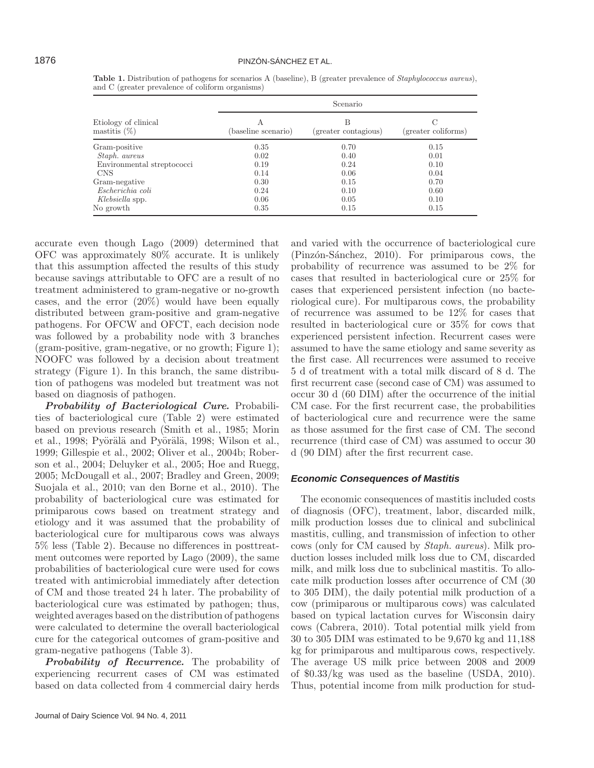|                                         | Scenario                |                           |                     |  |  |  |  |  |
|-----------------------------------------|-------------------------|---------------------------|---------------------|--|--|--|--|--|
| Etiology of clinical<br>mastitis $(\%)$ | A<br>baseline scenario) | В<br>(greater contagious) | (greater coliforms) |  |  |  |  |  |
| Gram-positive                           | 0.35                    | 0.70                      | 0.15                |  |  |  |  |  |
| Staph. aureus                           | 0.02                    | 0.40                      | 0.01                |  |  |  |  |  |
| Environmental streptococci              | 0.19                    | 0.24                      | 0.10                |  |  |  |  |  |
| <b>CNS</b>                              | 0.14                    | 0.06                      | 0.04                |  |  |  |  |  |
| Gram-negative                           | 0.30                    | 0.15                      | 0.70                |  |  |  |  |  |
| Escherichia coli                        | 0.24                    | 0.10                      | 0.60                |  |  |  |  |  |
| Klebsiella spp.                         | 0.06                    | 0.05                      | 0.10                |  |  |  |  |  |
| No growth                               | 0.35                    | 0.15                      | 0.15                |  |  |  |  |  |

**Table 1.** Distribution of pathogens for scenarios A (baseline), B (greater prevalence of *Staphylococcus aureus*), and C (greater prevalence of coliform organisms)

accurate even though Lago (2009) determined that OFC was approximately 80% accurate. It is unlikely that this assumption affected the results of this study because savings attributable to OFC are a result of no treatment administered to gram-negative or no-growth cases, and the error (20%) would have been equally distributed between gram-positive and gram-negative pathogens. For OFCW and OFCT, each decision node was followed by a probability node with 3 branches (gram-positive, gram-negative, or no growth; Figure 1); NOOFC was followed by a decision about treatment strategy (Figure 1). In this branch, the same distribution of pathogens was modeled but treatment was not based on diagnosis of pathogen.

*Probability of Bacteriological Cure.* Probabilities of bacteriological cure (Table 2) were estimated based on previous research (Smith et al., 1985; Morin et al., 1998; Pyörälä and Pyörälä, 1998; Wilson et al., 1999; Gillespie et al., 2002; Oliver et al., 2004b; Roberson et al., 2004; Deluyker et al., 2005; Hoe and Ruegg, 2005; McDougall et al., 2007; Bradley and Green, 2009; Suojala et al., 2010; van den Borne et al., 2010). The probability of bacteriological cure was estimated for primiparous cows based on treatment strategy and etiology and it was assumed that the probability of bacteriological cure for multiparous cows was always 5% less (Table 2). Because no differences in posttreatment outcomes were reported by Lago (2009), the same probabilities of bacteriological cure were used for cows treated with antimicrobial immediately after detection of CM and those treated 24 h later. The probability of bacteriological cure was estimated by pathogen; thus, weighted averages based on the distribution of pathogens were calculated to determine the overall bacteriological cure for the categorical outcomes of gram-positive and gram-negative pathogens (Table 3).

*Probability of Recurrence.* The probability of experiencing recurrent cases of CM was estimated based on data collected from 4 commercial dairy herds

and varied with the occurrence of bacteriological cure (Pinzón-Sánchez, 2010). For primiparous cows, the probability of recurrence was assumed to be 2% for cases that resulted in bacteriological cure or 25% for cases that experienced persistent infection (no bacteriological cure). For multiparous cows, the probability of recurrence was assumed to be 12% for cases that resulted in bacteriological cure or 35% for cows that experienced persistent infection. Recurrent cases were assumed to have the same etiology and same severity as the first case. All recurrences were assumed to receive 5 d of treatment with a total milk discard of 8 d. The first recurrent case (second case of CM) was assumed to occur 30 d (60 DIM) after the occurrence of the initial CM case. For the first recurrent case, the probabilities of bacteriological cure and recurrence were the same as those assumed for the first case of CM. The second recurrence (third case of CM) was assumed to occur 30 d (90 DIM) after the first recurrent case.

## *Economic Consequences of Mastitis*

The economic consequences of mastitis included costs of diagnosis (OFC), treatment, labor, discarded milk, milk production losses due to clinical and subclinical mastitis, culling, and transmission of infection to other cows (only for CM caused by *Staph. aureus*). Milk production losses included milk loss due to CM, discarded milk, and milk loss due to subclinical mastitis. To allocate milk production losses after occurrence of CM (30 to 305 DIM), the daily potential milk production of a cow (primiparous or multiparous cows) was calculated based on typical lactation curves for Wisconsin dairy cows (Cabrera, 2010). Total potential milk yield from 30 to 305 DIM was estimated to be 9,670 kg and 11,188 kg for primiparous and multiparous cows, respectively. The average US milk price between 2008 and 2009 of \$0.33/kg was used as the baseline (USDA, 2010). Thus, potential income from milk production for stud-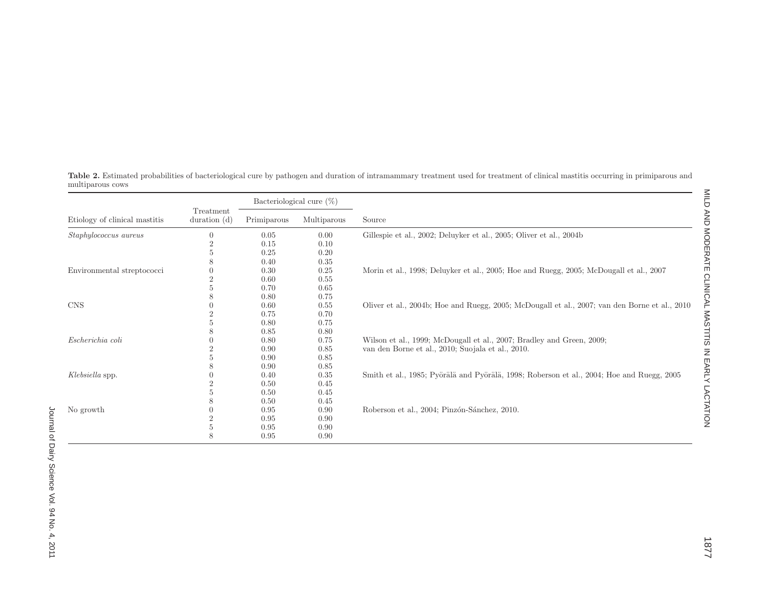| $D_{\text{non-ideal}}$                                                                                                                                                                  |  |
|-----------------------------------------------------------------------------------------------------------------------------------------------------------------------------------------|--|
| multiparous cows                                                                                                                                                                        |  |
| <b>Table 2.</b> Estimated probabilities of bacteriological cure by pathogen and duration of intramammary treatment used for treatment of clinical mastitis occurring in primiparous and |  |

| Etiology of clinical mastitis<br>Staphylococcus aureus |                             |             | Bacteriological cure $(\%)$ |                                                                                               |
|--------------------------------------------------------|-----------------------------|-------------|-----------------------------|-----------------------------------------------------------------------------------------------|
|                                                        | Treatment<br>duration $(d)$ | Primiparous | Multiparous                 | Source                                                                                        |
|                                                        | $\Omega$                    | 0.05        | 0.00                        | Gillespie et al., 2002; Deluyker et al., 2005; Oliver et al., 2004b                           |
|                                                        |                             | 0.15        | 0.10                        |                                                                                               |
|                                                        |                             | 0.25        | 0.20                        |                                                                                               |
|                                                        | 8                           | 0.40        | 0.35                        |                                                                                               |
| Environmental streptococci                             |                             | 0.30        | 0.25                        | Morin et al., 1998; Deluyker et al., 2005; Hoe and Ruegg, 2005; McDougall et al., 2007        |
|                                                        | $\overline{2}$              | 0.60        | 0.55                        |                                                                                               |
|                                                        |                             | 0.70        | 0.65                        |                                                                                               |
|                                                        | 8                           | 0.80        | 0.75                        |                                                                                               |
| <b>CNS</b>                                             |                             | 0.60        | 0.55                        | Oliver et al., 2004b; Hoe and Ruegg, 2005; McDougall et al., 2007; van den Borne et al., 2010 |
|                                                        |                             | 0.75        | 0.70                        |                                                                                               |
|                                                        |                             | 0.80        | 0.75                        |                                                                                               |
|                                                        |                             | 0.85        | 0.80                        |                                                                                               |
| Escherichia coli                                       |                             | 0.80        | 0.75                        | Wilson et al., 1999; McDougall et al., 2007; Bradley and Green, 2009;                         |
|                                                        |                             | 0.90        | 0.85                        | van den Borne et al., 2010; Suojala et al., 2010.                                             |
|                                                        |                             | 0.90        | 0.85                        |                                                                                               |
|                                                        |                             | 0.90        | 0.85                        |                                                                                               |
| Klebsiella spp.                                        |                             | 0.40        | 0.35                        | Smith et al., 1985; Pyörälä and Pyörälä, 1998; Roberson et al., 2004; Hoe and Ruegg, 2005     |
|                                                        |                             | 0.50        | 0.45                        |                                                                                               |
|                                                        |                             | 0.50        | 0.45                        |                                                                                               |
|                                                        |                             | 0.50        | 0.45                        |                                                                                               |
| No growth                                              |                             | 0.95        | 0.90                        | Roberson et al., 2004; Pinzón-Sánchez, 2010.                                                  |
|                                                        |                             | 0.95        | 0.90                        |                                                                                               |
|                                                        | 5                           | 0.95        | 0.90                        |                                                                                               |
|                                                        | 8                           | 0.95        | 0.90                        |                                                                                               |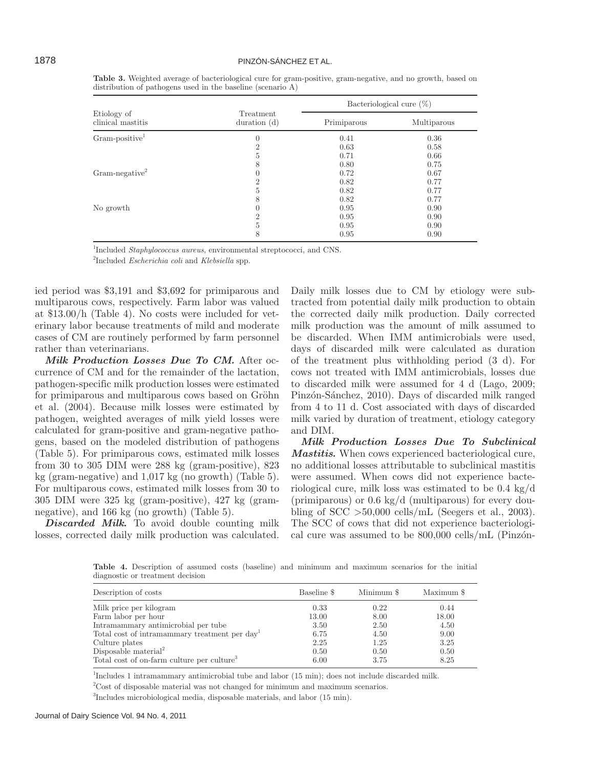|                                                                                       |                             | Bacteriological cure $(\%)$ |             |  |  |  |
|---------------------------------------------------------------------------------------|-----------------------------|-----------------------------|-------------|--|--|--|
|                                                                                       | Treatment<br>duration $(d)$ | Primiparous                 | Multiparous |  |  |  |
| Etiology of<br>clinical mastitis<br>$Gram-positive1$<br>$Gram-negative2$<br>No growth | 0                           | 0.41                        | 0.36        |  |  |  |
|                                                                                       | $\overline{2}$              | 0.63                        | 0.58        |  |  |  |
|                                                                                       | 5                           | 0.71                        | 0.66        |  |  |  |
|                                                                                       | 8                           | 0.80                        | 0.75        |  |  |  |
|                                                                                       | 0                           | 0.72                        | 0.67        |  |  |  |
|                                                                                       | $\overline{2}$              | 0.82                        | 0.77        |  |  |  |
|                                                                                       | 5                           | 0.82                        | 0.77        |  |  |  |
|                                                                                       | 8                           | 0.82                        | 0.77        |  |  |  |
|                                                                                       | 0                           | 0.95                        | 0.90        |  |  |  |
|                                                                                       | $\overline{2}$              | 0.95                        | 0.90        |  |  |  |
|                                                                                       | 5                           | 0.95                        | 0.90        |  |  |  |
|                                                                                       | 8                           | 0.95                        | 0.90        |  |  |  |

**Table 3.** Weighted average of bacteriological cure for gram-positive, gram-negative, and no growth, based on distribution of pathogens used in the baseline (scenario A)

1 Included *Staphylococcus aureus*, environmental streptococci, and CNS.

2 Included *Escherichia coli* and *Klebsiella* spp.

ied period was \$3,191 and \$3,692 for primiparous and multiparous cows, respectively. Farm labor was valued at \$13.00/h (Table 4). No costs were included for veterinary labor because treatments of mild and moderate cases of CM are routinely performed by farm personnel rather than veterinarians.

*Milk Production Losses Due To CM.* After occurrence of CM and for the remainder of the lactation, pathogen-specific milk production losses were estimated for primiparous and multiparous cows based on Gröhn et al. (2004). Because milk losses were estimated by pathogen, weighted averages of milk yield losses were calculated for gram-positive and gram-negative pathogens, based on the modeled distribution of pathogens (Table 5). For primiparous cows, estimated milk losses from 30 to 305 DIM were 288 kg (gram-positive), 823 kg (gram-negative) and 1,017 kg (no growth) (Table 5). For multiparous cows, estimated milk losses from 30 to 305 DIM were 325 kg (gram-positive), 427 kg (gramnegative), and 166 kg (no growth) (Table 5).

*Discarded Milk.* To avoid double counting milk losses, corrected daily milk production was calculated. Daily milk losses due to CM by etiology were subtracted from potential daily milk production to obtain the corrected daily milk production. Daily corrected milk production was the amount of milk assumed to be discarded. When IMM antimicrobials were used, days of discarded milk were calculated as duration of the treatment plus withholding period (3 d). For cows not treated with IMM antimicrobials, losses due to discarded milk were assumed for 4 d (Lago, 2009; Pinzón-Sánchez, 2010). Days of discarded milk ranged from 4 to 11 d. Cost associated with days of discarded milk varied by duration of treatment, etiology category and DIM.

*Milk Production Losses Due To Subclinical Mastitis.* When cows experienced bacteriological cure, no additional losses attributable to subclinical mastitis were assumed. When cows did not experience bacteriological cure, milk loss was estimated to be 0.4 kg/d (primiparous) or 0.6 kg/d (multiparous) for every doubling of  $SCC > 50,000$  cells/mL (Seegers et al., 2003). The SCC of cows that did not experience bacteriological cure was assumed to be 800,000 cells/mL (Pinzón-

**Table 4.** Description of assumed costs (baseline) and minimum and maximum scenarios for the initial diagnostic or treatment decision

| Description of costs                                      | Baseline \$ | Minimum \$ | Maximum \$ |
|-----------------------------------------------------------|-------------|------------|------------|
| Milk price per kilogram                                   | 0.33        | 0.22       | 0.44       |
| Farm labor per hour                                       | 13.00       | 8.00       | 18.00      |
| Intramammary antimicrobial per tube                       | 3.50        | 2.50       | 4.50       |
| Total cost of intramammary treatment per day <sup>1</sup> | 6.75        | 4.50       | 9.00       |
| Culture plates                                            | 2.25        | 1.25       | 3.25       |
| Disposable material <sup>2</sup>                          | 0.50        | 0.50       | 0.50       |
| Total cost of on-farm culture per culture <sup>3</sup>    | 6.00        | 3.75       | 8.25       |

<sup>1</sup>Includes 1 intramammary antimicrobial tube and labor (15 min); does not include discarded milk.

<sup>2</sup>Cost of disposable material was not changed for minimum and maximum scenarios.

<sup>3</sup>Includes microbiological media, disposable materials, and labor (15 min).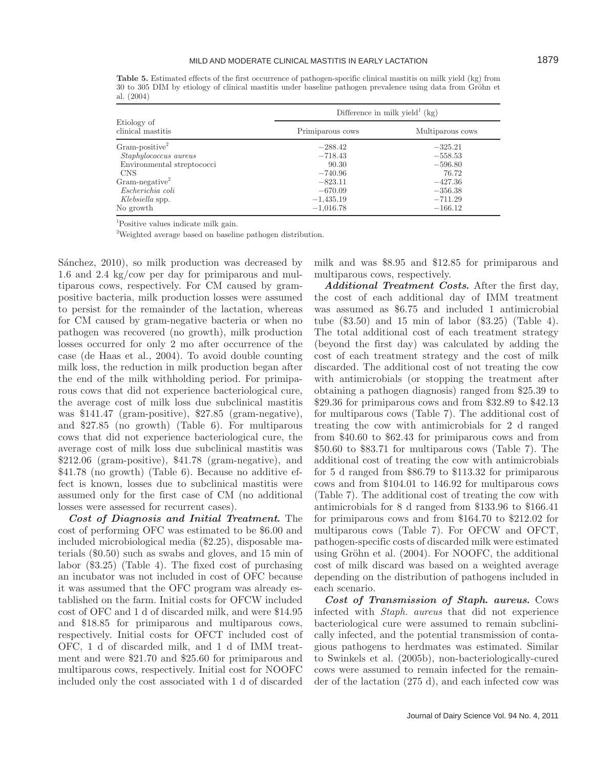**Table 5.** Estimated effects of the first occurrence of pathogen-specific clinical mastitis on milk yield (kg) from 30 to 305 DIM by etiology of clinical mastitis under baseline pathogen prevalence using data from Gröhn et al. (2004)

|                                  | Difference in milk yield <sup>1</sup> (kg) |                  |  |  |  |  |  |
|----------------------------------|--------------------------------------------|------------------|--|--|--|--|--|
| Etiology of<br>clinical mastitis | Primiparous cows                           | Multiparous cows |  |  |  |  |  |
| $Gram-positive2$                 | $-288.42$                                  | $-325.21$        |  |  |  |  |  |
| Staphylococcus aureus            | $-718.43$                                  | $-558.53$        |  |  |  |  |  |
| Environmental streptococci       | 90.30                                      | $-596.80$        |  |  |  |  |  |
| <b>CNS</b>                       | $-740.96$                                  | 76.72            |  |  |  |  |  |
| $Gram-negative2$                 | $-823.11$                                  | $-427.36$        |  |  |  |  |  |
| Escherichia coli                 | $-670.09$                                  | $-356.38$        |  |  |  |  |  |
| <i>Klebsiella</i> spp.           | $-1,435.19$                                | $-711.29$        |  |  |  |  |  |
| No growth                        | $-1,016.78$                                | $-166.12$        |  |  |  |  |  |

1 Positive values indicate milk gain.

<sup>2</sup>Weighted average based on baseline pathogen distribution.

Sánchez, 2010), so milk production was decreased by 1.6 and 2.4 kg/cow per day for primiparous and multiparous cows, respectively. For CM caused by grampositive bacteria, milk production losses were assumed to persist for the remainder of the lactation, whereas for CM caused by gram-negative bacteria or when no pathogen was recovered (no growth), milk production losses occurred for only 2 mo after occurrence of the case (de Haas et al., 2004). To avoid double counting milk loss, the reduction in milk production began after the end of the milk withholding period. For primiparous cows that did not experience bacteriological cure, the average cost of milk loss due subclinical mastitis was \$141.47 (gram-positive), \$27.85 (gram-negative), and \$27.85 (no growth) (Table 6). For multiparous cows that did not experience bacteriological cure, the average cost of milk loss due subclinical mastitis was \$212.06 (gram-positive), \$41.78 (gram-negative), and \$41.78 (no growth) (Table 6). Because no additive effect is known, losses due to subclinical mastitis were assumed only for the first case of CM (no additional losses were assessed for recurrent cases).

*Cost of Diagnosis and Initial Treatment.* The cost of performing OFC was estimated to be \$6.00 and included microbiological media (\$2.25), disposable materials (\$0.50) such as swabs and gloves, and 15 min of labor (\$3.25) (Table 4). The fixed cost of purchasing an incubator was not included in cost of OFC because it was assumed that the OFC program was already established on the farm. Initial costs for OFCW included cost of OFC and 1 d of discarded milk, and were \$14.95 and \$18.85 for primiparous and multiparous cows, respectively. Initial costs for OFCT included cost of OFC, 1 d of discarded milk, and 1 d of IMM treatment and were \$21.70 and \$25.60 for primiparous and multiparous cows, respectively. Initial cost for NOOFC included only the cost associated with 1 d of discarded

milk and was \$8.95 and \$12.85 for primiparous and multiparous cows, respectively.

*Additional Treatment Costs.* After the first day, the cost of each additional day of IMM treatment was assumed as \$6.75 and included 1 antimicrobial tube (\$3.50) and 15 min of labor (\$3.25) (Table 4). The total additional cost of each treatment strategy (beyond the first day) was calculated by adding the cost of each treatment strategy and the cost of milk discarded. The additional cost of not treating the cow with antimicrobials (or stopping the treatment after obtaining a pathogen diagnosis) ranged from \$25.39 to \$29.36 for primiparous cows and from \$32.89 to \$42.13 for multiparous cows (Table 7). The additional cost of treating the cow with antimicrobials for 2 d ranged from \$40.60 to \$62.43 for primiparous cows and from \$50.60 to \$83.71 for multiparous cows (Table 7). The additional cost of treating the cow with antimicrobials for 5 d ranged from \$86.79 to \$113.32 for primiparous cows and from \$104.01 to 146.92 for multiparous cows (Table 7). The additional cost of treating the cow with antimicrobials for 8 d ranged from \$133.96 to \$166.41 for primiparous cows and from \$164.70 to \$212.02 for multiparous cows (Table 7). For OFCW and OFCT, pathogen-specific costs of discarded milk were estimated using Gröhn et al. (2004). For NOOFC, the additional cost of milk discard was based on a weighted average depending on the distribution of pathogens included in each scenario.

*Cost of Transmission of Staph. aureus.* Cows infected with *Staph. aureus* that did not experience bacteriological cure were assumed to remain subclinically infected, and the potential transmission of contagious pathogens to herdmates was estimated. Similar to Swinkels et al. (2005b), non-bacteriologically-cured cows were assumed to remain infected for the remainder of the lactation (275 d), and each infected cow was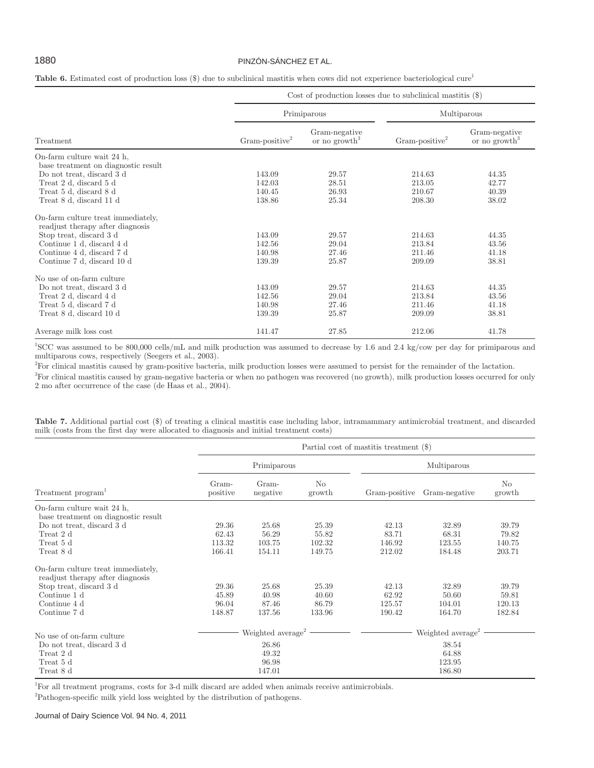## 1880 PINZÓN-SÁNCHEZ ET AL.

|  | <b>Table 6.</b> Estimated cost of production loss (\$) due to subclinical mastitis when cows did not experience bacteriological cure |  |  |  |  |  |  |  |
|--|--------------------------------------------------------------------------------------------------------------------------------------|--|--|--|--|--|--|--|
|  |                                                                                                                                      |  |  |  |  |  |  |  |

|                                                                                                                                                                                                                                                                                                                                                                                                    | Cost of production losses due to subclinical mastitis $(\$)$ |                                            |                  |                                            |  |  |  |  |  |
|----------------------------------------------------------------------------------------------------------------------------------------------------------------------------------------------------------------------------------------------------------------------------------------------------------------------------------------------------------------------------------------------------|--------------------------------------------------------------|--------------------------------------------|------------------|--------------------------------------------|--|--|--|--|--|
|                                                                                                                                                                                                                                                                                                                                                                                                    |                                                              | Primiparous                                |                  | Multiparous                                |  |  |  |  |  |
| Treatment<br>base treatment on diagnostic result<br>Do not treat, discard 3 d<br>Treat 2 d, discard 5 d<br>Treat 5 d, discard 8 d<br>Treat 8 d, discard 11 d<br>readjust therapy after diagnosis<br>Stop treat, discard 3 d<br>Continue 1 d, discard 4 d<br>Continue 4 d, discard 7 d<br>Continue 7 d, discard 10 d<br>Treat 2 d, discard 4 d<br>Treat 5 d, discard 7 d<br>Treat 8 d, discard 10 d | $Gram-positive2$                                             | Gram-negative<br>or no growth <sup>3</sup> | $Gram-positive2$ | Gram-negative<br>or no growth <sup>3</sup> |  |  |  |  |  |
| On-farm culture wait 24 h,                                                                                                                                                                                                                                                                                                                                                                         |                                                              |                                            |                  |                                            |  |  |  |  |  |
|                                                                                                                                                                                                                                                                                                                                                                                                    |                                                              |                                            |                  |                                            |  |  |  |  |  |
|                                                                                                                                                                                                                                                                                                                                                                                                    | 143.09                                                       | 29.57                                      | 214.63           | 44.35                                      |  |  |  |  |  |
|                                                                                                                                                                                                                                                                                                                                                                                                    | 142.03                                                       | 28.51                                      | 213.05           | 42.77                                      |  |  |  |  |  |
|                                                                                                                                                                                                                                                                                                                                                                                                    | 140.45                                                       | 26.93                                      | 210.67           | 40.39                                      |  |  |  |  |  |
|                                                                                                                                                                                                                                                                                                                                                                                                    | 138.86                                                       | 25.34                                      | 208.30           | 38.02                                      |  |  |  |  |  |
| On-farm culture treat immediately,                                                                                                                                                                                                                                                                                                                                                                 |                                                              |                                            |                  |                                            |  |  |  |  |  |
|                                                                                                                                                                                                                                                                                                                                                                                                    |                                                              |                                            |                  |                                            |  |  |  |  |  |
|                                                                                                                                                                                                                                                                                                                                                                                                    | 143.09                                                       | 29.57                                      | 214.63           | 44.35                                      |  |  |  |  |  |
|                                                                                                                                                                                                                                                                                                                                                                                                    | 142.56                                                       | 29.04                                      | 213.84           | 43.56                                      |  |  |  |  |  |
|                                                                                                                                                                                                                                                                                                                                                                                                    | 140.98                                                       | 27.46                                      | 211.46           | 41.18                                      |  |  |  |  |  |
|                                                                                                                                                                                                                                                                                                                                                                                                    | 139.39                                                       | 25.87                                      | 209.09           | 38.81                                      |  |  |  |  |  |
| No use of on-farm culture                                                                                                                                                                                                                                                                                                                                                                          |                                                              |                                            |                  |                                            |  |  |  |  |  |
| Do not treat, discard 3 d                                                                                                                                                                                                                                                                                                                                                                          | 143.09                                                       | 29.57                                      | 214.63           | 44.35                                      |  |  |  |  |  |
|                                                                                                                                                                                                                                                                                                                                                                                                    | 142.56                                                       | 29.04                                      | 213.84           | 43.56                                      |  |  |  |  |  |
|                                                                                                                                                                                                                                                                                                                                                                                                    | 140.98                                                       | 27.46                                      | 211.46           | 41.18                                      |  |  |  |  |  |
|                                                                                                                                                                                                                                                                                                                                                                                                    | 139.39                                                       | 25.87                                      | 209.09           | 38.81                                      |  |  |  |  |  |
| Average milk loss cost                                                                                                                                                                                                                                                                                                                                                                             | 141.47                                                       | 27.85                                      | 212.06           | 41.78                                      |  |  |  |  |  |

1 SCC was assumed to be 800,000 cells/mL and milk production was assumed to decrease by 1.6 and 2.4 kg/cow per day for primiparous and multiparous cows, respectively (Seegers et al., 2003).

2 For clinical mastitis caused by gram-positive bacteria, milk production losses were assumed to persist for the remainder of the lactation. 3 For clinical mastitis caused by gram-negative bacteria or when no pathogen was recovered (no growth), milk production losses occurred for only 2 mo after occurrence of the case (de Haas et al., 2004).

**Table 7.** Additional partial cost (\$) of treating a clinical mastitis case including labor, intramammary antimicrobial treatment, and discarded milk (costs from the first day were allocated to diagnosis and initial treatment costs)

|                                                                                                                                                                                                                                                                                                                                 |                   | Partial cost of mastitis treatment $(\$)$ |              |               |                               |              |  |  |  |  |  |
|---------------------------------------------------------------------------------------------------------------------------------------------------------------------------------------------------------------------------------------------------------------------------------------------------------------------------------|-------------------|-------------------------------------------|--------------|---------------|-------------------------------|--------------|--|--|--|--|--|
|                                                                                                                                                                                                                                                                                                                                 |                   | Primiparous                               |              |               | Multiparous                   |              |  |  |  |  |  |
| Treatment program <sup>1</sup><br>base treatment on diagnostic result<br>Do not treat, discard 3 d<br>Treat 2 d<br>Treat 5 d<br>Treat 8 d<br>readjust therapy after diagnosis<br>Stop treat, discard 3 d<br>Continue 1 d<br>Continue 4 d<br>Continue 7 d<br>No use of on-farm culture<br>Do not treat, discard 3 d<br>Treat 2 d | Gram-<br>positive | $Gram-$<br>negative                       | No<br>growth | Gram-positive | Gram-negative                 | No<br>growth |  |  |  |  |  |
| On-farm culture wait 24 h,                                                                                                                                                                                                                                                                                                      |                   |                                           |              |               |                               |              |  |  |  |  |  |
|                                                                                                                                                                                                                                                                                                                                 |                   |                                           |              |               |                               |              |  |  |  |  |  |
|                                                                                                                                                                                                                                                                                                                                 | 29.36             | 25.68                                     | 25.39        | 42.13         | 32.89                         | 39.79        |  |  |  |  |  |
|                                                                                                                                                                                                                                                                                                                                 | 62.43             | 56.29                                     | 55.82        | 83.71         | 68.31                         | 79.82        |  |  |  |  |  |
|                                                                                                                                                                                                                                                                                                                                 | 113.32            | 103.75                                    | 102.32       | 146.92        | 123.55                        | 140.75       |  |  |  |  |  |
|                                                                                                                                                                                                                                                                                                                                 | 166.41            | 154.11                                    | 149.75       | 212.02        | 184.48                        | 203.71       |  |  |  |  |  |
| On-farm culture treat immediately,                                                                                                                                                                                                                                                                                              |                   |                                           |              |               |                               |              |  |  |  |  |  |
|                                                                                                                                                                                                                                                                                                                                 |                   |                                           |              |               |                               |              |  |  |  |  |  |
|                                                                                                                                                                                                                                                                                                                                 | 29.36             | 25.68                                     | 25.39        | 42.13         | 32.89                         | 39.79        |  |  |  |  |  |
|                                                                                                                                                                                                                                                                                                                                 | 45.89             | 40.98                                     | 40.60        | 62.92         | 50.60                         | 59.81        |  |  |  |  |  |
|                                                                                                                                                                                                                                                                                                                                 | 96.04             | 87.46                                     | 86.79        | 125.57        | 104.01                        | 120.13       |  |  |  |  |  |
|                                                                                                                                                                                                                                                                                                                                 | 148.87            | 137.56                                    | 133.96       | 190.42        | 164.70                        | 182.84       |  |  |  |  |  |
|                                                                                                                                                                                                                                                                                                                                 |                   | Weighted average <sup>2</sup>             |              |               | Weighted average <sup>2</sup> |              |  |  |  |  |  |
|                                                                                                                                                                                                                                                                                                                                 |                   | 26.86                                     |              |               | 38.54                         |              |  |  |  |  |  |
|                                                                                                                                                                                                                                                                                                                                 |                   | 49.32                                     |              |               | 64.88                         |              |  |  |  |  |  |
| Treat 5 d                                                                                                                                                                                                                                                                                                                       |                   | 96.98                                     |              |               | 123.95                        |              |  |  |  |  |  |
| Treat 8 d                                                                                                                                                                                                                                                                                                                       |                   | 147.01                                    |              |               | 186.80                        |              |  |  |  |  |  |
|                                                                                                                                                                                                                                                                                                                                 |                   |                                           |              |               |                               |              |  |  |  |  |  |

1 For all treatment programs, costs for 3-d milk discard are added when animals receive antimicrobials.

<sup>2</sup>Pathogen-specific milk yield loss weighted by the distribution of pathogens.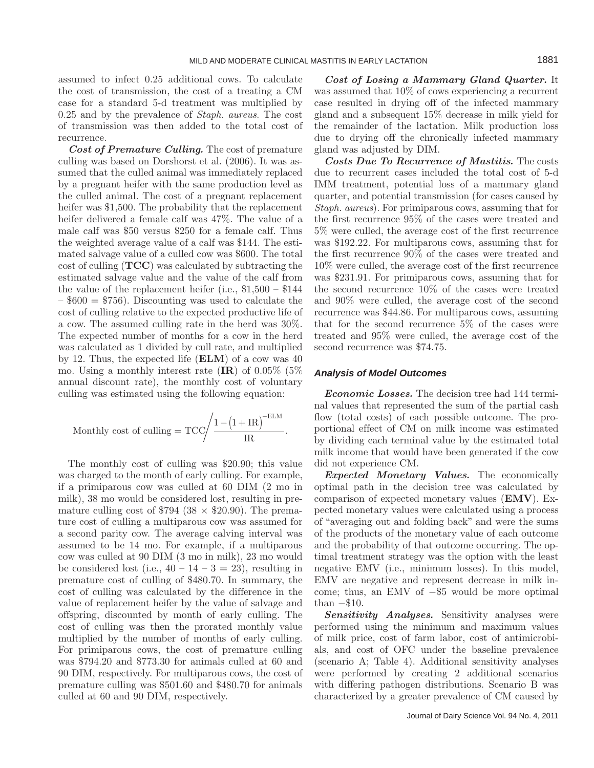assumed to infect 0.25 additional cows. To calculate the cost of transmission, the cost of a treating a CM case for a standard 5-d treatment was multiplied by 0.25 and by the prevalence of *Staph. aureus*. The cost of transmission was then added to the total cost of recurrence.

*Cost of Premature Culling.* The cost of premature culling was based on Dorshorst et al. (2006). It was assumed that the culled animal was immediately replaced by a pregnant heifer with the same production level as the culled animal. The cost of a pregnant replacement heifer was \$1,500. The probability that the replacement heifer delivered a female calf was 47%. The value of a male calf was \$50 versus \$250 for a female calf. Thus the weighted average value of a calf was \$144. The estimated salvage value of a culled cow was \$600. The total cost of culling (**TCC**) was calculated by subtracting the estimated salvage value and the value of the calf from the value of the replacement heifer (i.e., \$1,500 – \$144  $-$  \$600  $=$  \$756). Discounting was used to calculate the cost of culling relative to the expected productive life of a cow. The assumed culling rate in the herd was 30%. The expected number of months for a cow in the herd was calculated as 1 divided by cull rate, and multiplied by 12. Thus, the expected life (**ELM**) of a cow was 40 mo. Using a monthly interest rate (**IR**) of 0.05% (5% annual discount rate), the monthly cost of voluntary culling was estimated using the following equation:

Monthly cost of culling = 
$$
\text{TCC} / \frac{1 - (1 + \text{IR})^{-\text{ELM}}}{\text{IR}}.
$$

The monthly cost of culling was \$20.90; this value was charged to the month of early culling. For example, if a primiparous cow was culled at 60 DIM (2 mo in milk), 38 mo would be considered lost, resulting in premature culling cost of \$794 (38  $\times$  \$20.90). The premature cost of culling a multiparous cow was assumed for a second parity cow. The average calving interval was assumed to be 14 mo. For example, if a multiparous cow was culled at 90 DIM (3 mo in milk), 23 mo would be considered lost (i.e.,  $40 - 14 - 3 = 23$ ), resulting in premature cost of culling of \$480.70. In summary, the cost of culling was calculated by the difference in the value of replacement heifer by the value of salvage and offspring, discounted by month of early culling. The cost of culling was then the prorated monthly value multiplied by the number of months of early culling. For primiparous cows, the cost of premature culling was \$794.20 and \$773.30 for animals culled at 60 and 90 DIM, respectively. For multiparous cows, the cost of premature culling was \$501.60 and \$480.70 for animals culled at 60 and 90 DIM, respectively.

*Cost of Losing a Mammary Gland Quarter.* It was assumed that 10% of cows experiencing a recurrent case resulted in drying off of the infected mammary gland and a subsequent 15% decrease in milk yield for the remainder of the lactation. Milk production loss due to drying off the chronically infected mammary gland was adjusted by DIM.

*Costs Due To Recurrence of Mastitis.* The costs due to recurrent cases included the total cost of 5-d IMM treatment, potential loss of a mammary gland quarter, and potential transmission (for cases caused by *Staph. aureus*). For primiparous cows, assuming that for the first recurrence 95% of the cases were treated and 5% were culled, the average cost of the first recurrence was \$192.22. For multiparous cows, assuming that for the first recurrence 90% of the cases were treated and 10% were culled, the average cost of the first recurrence was \$231.91. For primiparous cows, assuming that for the second recurrence 10% of the cases were treated and 90% were culled, the average cost of the second recurrence was \$44.86. For multiparous cows, assuming that for the second recurrence 5% of the cases were treated and 95% were culled, the average cost of the second recurrence was \$74.75.

#### *Analysis of Model Outcomes*

*Economic Losses.* The decision tree had 144 terminal values that represented the sum of the partial cash flow (total costs) of each possible outcome. The proportional effect of CM on milk income was estimated by dividing each terminal value by the estimated total milk income that would have been generated if the cow did not experience CM.

*Expected Monetary Values.* The economically optimal path in the decision tree was calculated by comparison of expected monetary values (**EMV**). Expected monetary values were calculated using a process of "averaging out and folding back" and were the sums of the products of the monetary value of each outcome and the probability of that outcome occurring. The optimal treatment strategy was the option with the least negative EMV (i.e., minimum losses). In this model, EMV are negative and represent decrease in milk income; thus, an EMV of −\$5 would be more optimal than  $-\$10$ .

*Sensitivity Analyses.* Sensitivity analyses were performed using the minimum and maximum values of milk price, cost of farm labor, cost of antimicrobials, and cost of OFC under the baseline prevalence (scenario A; Table 4). Additional sensitivity analyses were performed by creating 2 additional scenarios with differing pathogen distributions. Scenario B was characterized by a greater prevalence of CM caused by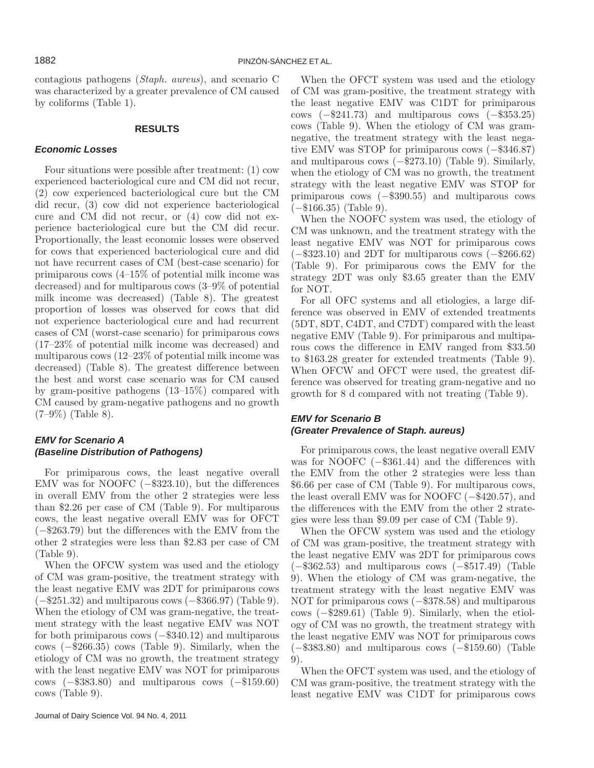contagious pathogens (*Staph. aureus*), and scenario C was characterized by a greater prevalence of CM caused by coliforms (Table 1).

## **RESULTS**

## *Economic Losses*

Four situations were possible after treatment: (1) cow experienced bacteriological cure and CM did not recur, (2) cow experienced bacteriological cure but the CM did recur, (3) cow did not experience bacteriological cure and CM did not recur, or (4) cow did not experience bacteriological cure but the CM did recur. Proportionally, the least economic losses were observed for cows that experienced bacteriological cure and did not have recurrent cases of CM (best-case scenario) for primiparous cows (4–15% of potential milk income was decreased) and for multiparous cows (3–9% of potential milk income was decreased) (Table 8). The greatest proportion of losses was observed for cows that did not experience bacteriological cure and had recurrent cases of CM (worst-case scenario) for primiparous cows (17–23% of potential milk income was decreased) and multiparous cows (12–23% of potential milk income was decreased) (Table 8). The greatest difference between the best and worst case scenario was for CM caused by gram-positive pathogens (13–15%) compared with CM caused by gram-negative pathogens and no growth (7–9%) (Table 8).

## *EMV for Scenario A (Baseline Distribution of Pathogens)*

For primiparous cows, the least negative overall EMV was for NOOFC  $(-\$323.10)$ , but the differences in overall EMV from the other 2 strategies were less than \$2.26 per case of CM (Table 9). For multiparous cows, the least negative overall EMV was for OFCT (−\$263.79) but the differences with the EMV from the other 2 strategies were less than \$2.83 per case of CM (Table 9).

When the OFCW system was used and the etiology of CM was gram-positive, the treatment strategy with the least negative EMV was 2DT for primiparous cows (−\$251.32) and multiparous cows (−\$366.97) (Table 9). When the etiology of CM was gram-negative, the treatment strategy with the least negative EMV was NOT for both primiparous cows (−\$340.12) and multiparous cows (−\$266.35) cows (Table 9). Similarly, when the etiology of CM was no growth, the treatment strategy with the least negative EMV was NOT for primiparous cows (−\$383.80) and multiparous cows (−\$159.60) cows (Table 9).

When the OFCT system was used and the etiology of CM was gram-positive, the treatment strategy with the least negative EMV was C1DT for primiparous cows  $(-\$241.73)$  and multiparous cows  $(-\$353.25)$ cows (Table 9). When the etiology of CM was gramnegative, the treatment strategy with the least negative EMV was STOP for primiparous cows (−\$346.87) and multiparous cows (−\$273.10) (Table 9). Similarly, when the etiology of CM was no growth, the treatment strategy with the least negative EMV was STOP for primiparous cows (−\$390.55) and multiparous cows  $(-\$166.35)$  (Table 9).

When the NOOFC system was used, the etiology of CM was unknown, and the treatment strategy with the least negative EMV was NOT for primiparous cows (−\$323.10) and 2DT for multiparous cows (−\$266.62) (Table 9). For primiparous cows the EMV for the strategy 2DT was only \$3.65 greater than the EMV for NOT.

For all OFC systems and all etiologies, a large difference was observed in EMV of extended treatments (5DT, 8DT, C4DT, and C7DT) compared with the least negative EMV (Table 9). For primiparous and multiparous cows the difference in EMV ranged from \$33.50 to \$163.28 greater for extended treatments (Table 9). When OFCW and OFCT were used, the greatest difference was observed for treating gram-negative and no growth for 8 d compared with not treating (Table 9).

## *EMV for Scenario B (Greater Prevalence of Staph. aureus)*

For primiparous cows, the least negative overall EMV was for NOOFC (−\$361.44) and the differences with the EMV from the other 2 strategies were less than \$6.66 per case of CM (Table 9). For multiparous cows, the least overall EMV was for NOOFC (−\$420.57), and the differences with the EMV from the other 2 strategies were less than \$9.09 per case of CM (Table 9).

When the OFCW system was used and the etiology of CM was gram-positive, the treatment strategy with the least negative EMV was 2DT for primiparous cows (−\$362.53) and multiparous cows (−\$517.49) (Table 9). When the etiology of CM was gram-negative, the treatment strategy with the least negative EMV was NOT for primiparous cows (−\$378.58) and multiparous cows (−\$289.61) (Table 9). Similarly, when the etiology of CM was no growth, the treatment strategy with the least negative EMV was NOT for primiparous cows (−\$383.80) and multiparous cows (−\$159.60) (Table 9).

When the OFCT system was used, and the etiology of CM was gram-positive, the treatment strategy with the least negative EMV was C1DT for primiparous cows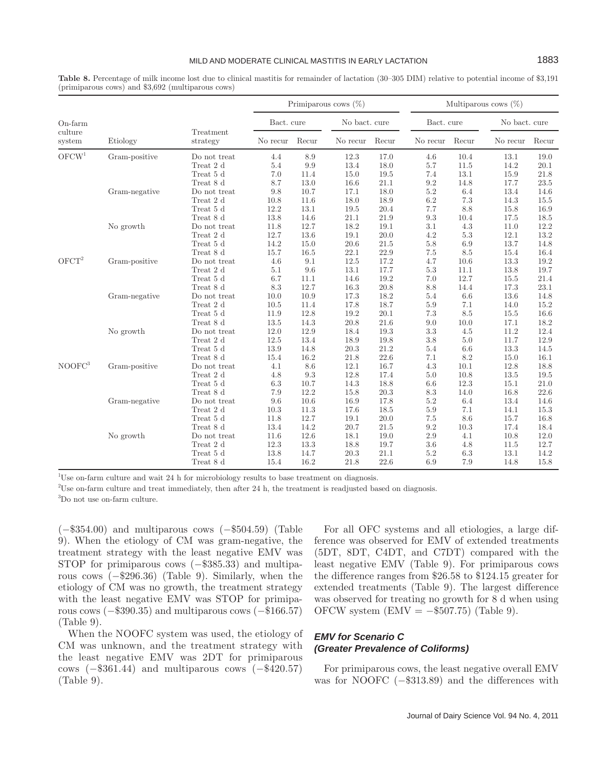## MILD AND MODERATE CLINICAL MASTITIS IN EARLY LACTATION 1983

**Table 8.** Percentage of milk income lost due to clinical mastitis for remainder of lactation (30–305 DIM) relative to potential income of \$3,191 (primiparous cows) and \$3,692 (multiparous cows)

|                    |               |                       |            |         | Primiparous cows (%) |          | Multiparous cows $(\%)$ |         |               |       |
|--------------------|---------------|-----------------------|------------|---------|----------------------|----------|-------------------------|---------|---------------|-------|
| On-farm            | Etiology      |                       | Bact. cure |         | No bact. cure        |          | Bact. cure              |         | No bact. cure |       |
| culture<br>system  |               | Treatment<br>strategy | No recur   | Recur   | No recur             | Recur    | No recur                | Recur   | No recur      | Recur |
| OFCW <sup>1</sup>  | Gram-positive | Do not treat          | 4.4        | $8.9\,$ | 12.3                 | 17.0     | 4.6                     | 10.4    | 13.1          | 19.0  |
|                    |               | Treat 2 d             | 5.4        | 9.9     | 13.4                 | 18.0     | $5.7\,$                 | 11.5    | 14.2          | 20.1  |
|                    |               | Treat 5 d             | 7.0        | 11.4    | 15.0                 | 19.5     | 7.4                     | 13.1    | 15.9          | 21.8  |
|                    |               | Treat 8 d             | 8.7        | 13.0    | 16.6                 | 21.1     | 9.2                     | 14.8    | 17.7          | 23.5  |
|                    | Gram-negative | Do not treat          | 9.8        | 10.7    | 17.1                 | 18.0     | 5.2                     | 6.4     | 13.4          | 14.6  |
|                    |               | Treat 2 d             | 10.8       | 11.6    | 18.0                 | 18.9     | 6.2                     | 7.3     | 14.3          | 15.5  |
|                    |               | Treat 5 d             | 12.2       | 13.1    | 19.5                 | 20.4     | 7.7                     | 8.8     | 15.8          | 16.9  |
|                    |               | Treat 8 d             | 13.8       | 14.6    | 21.1                 | 21.9     | 9.3                     | 10.4    | 17.5          | 18.5  |
|                    | No growth     | Do not treat          | 11.8       | 12.7    | 18.2                 | 19.1     | 3.1                     | 4.3     | 11.0          | 12.2  |
|                    |               | Treat 2 d             | 12.7       | 13.6    | 19.1                 | 20.0     | 4.2                     | 5.3     | 12.1          | 13.2  |
|                    |               | Treat 5 d             | 14.2       | 15.0    | 20.6                 | 21.5     | 5.8                     | 6.9     | 13.7          | 14.8  |
|                    |               | Treat 8 d             | 15.7       | 16.5    | 22.1                 | 22.9     | 7.5                     | 8.5     | 15.4          | 16.4  |
| OFCT <sup>2</sup>  | Gram-positive | Do not treat          | 4.6        | 9.1     | 12.5                 | 17.2     | 4.7                     | 10.6    | 13.3          | 19.2  |
|                    |               | Treat 2 d             | 5.1        | 9.6     | 13.1                 | 17.7     | 5.3                     | 11.1    | 13.8          | 19.7  |
|                    |               | Treat 5 d             | 6.7        | 11.1    | 14.6                 | 19.2     | 7.0                     | 12.7    | 15.5          | 21.4  |
|                    |               | Treat 8 d             | 8.3        | 12.7    | 16.3                 | 20.8     | 8.8                     | 14.4    | 17.3          | 23.1  |
|                    | Gram-negative | Do not treat          | 10.0       | 10.9    | 17.3                 | 18.2     | 5.4                     | 6.6     | 13.6          | 14.8  |
|                    |               | Treat 2 d             | 10.5       | 11.4    | 17.8                 | 18.7     | 5.9                     | 7.1     | 14.0          | 15.2  |
|                    |               | Treat 5 d             | 11.9       | 12.8    | 19.2                 | 20.1     | 7.3                     | $8.5\,$ | 15.5          | 16.6  |
|                    |               | Treat 8 d             | 13.5       | 14.3    | 20.8                 | 21.6     | 9.0                     | 10.0    | 17.1          | 18.2  |
|                    | No growth     | Do not treat          | 12.0       | 12.9    | 18.4                 | 19.3     | 3.3                     | 4.5     | 11.2          | 12.4  |
|                    |               | Treat 2 d             | 12.5       | 13.4    | 18.9                 | 19.8     | 3.8                     | 5.0     | 11.7          | 12.9  |
|                    |               | Treat 5 d             | 13.9       | 14.8    | 20.3                 | $21.2\,$ | 5.4                     | 6.6     | 13.3          | 14.5  |
|                    |               | Treat 8 d             | 15.4       | 16.2    | 21.8                 | 22.6     | 7.1                     | $8.2\,$ | 15.0          | 16.1  |
| NOOFC <sup>3</sup> | Gram-positive | Do not treat          | 4.1        | 8.6     | 12.1                 | 16.7     | 4.3                     | 10.1    | 12.8          | 18.8  |
|                    |               | Treat 2 d             | 4.8        | 9.3     | 12.8                 | 17.4     | 5.0                     | 10.8    | 13.5          | 19.5  |
|                    |               | Treat 5 d             | 6.3        | 10.7    | 14.3                 | 18.8     | 6.6                     | 12.3    | 15.1          | 21.0  |
|                    |               | Treat 8 d             | 7.9        | 12.2    | 15.8                 | 20.3     | 8.3                     | 14.0    | 16.8          | 22.6  |
|                    | Gram-negative | Do not treat          | 9.6        | 10.6    | 16.9                 | 17.8     | 5.2                     | 6.4     | 13.4          | 14.6  |
|                    |               | Treat 2 d             | 10.3       | 11.3    | 17.6                 | 18.5     | 5.9                     | 7.1     | 14.1          | 15.3  |
|                    |               | Treat 5 d             | 11.8       | 12.7    | 19.1                 | 20.0     | 7.5                     | 8.6     | 15.7          | 16.8  |
|                    |               | Treat 8 d             | 13.4       | 14.2    | 20.7                 | 21.5     | 9.2                     | 10.3    | 17.4          | 18.4  |
|                    | No growth     | Do not treat          | 11.6       | 12.6    | 18.1                 | 19.0     | 2.9                     | 4.1     | 10.8          | 12.0  |
|                    |               | Treat 2 d             | 12.3       | 13.3    | 18.8                 | 19.7     | 3.6                     | 4.8     | 11.5          | 12.7  |
|                    |               | Treat 5 d             | 13.8       | 14.7    | 20.3                 | 21.1     | 5.2                     | 6.3     | 13.1          | 14.2  |
|                    |               | Treat 8 d             | 15.4       | 16.2    | 21.8                 | 22.6     | 6.9                     | 7.9     | 14.8          | 15.8  |

<sup>1</sup>Use on-farm culture and wait 24 h for microbiology results to base treatment on diagnosis.

<sup>2</sup>Use on-farm culture and treat immediately, then after 24 h, the treatment is readjusted based on diagnosis. 3 Do not use on-farm culture.

(−\$354.00) and multiparous cows (−\$504.59) (Table 9). When the etiology of CM was gram-negative, the treatment strategy with the least negative EMV was STOP for primiparous cows  $(-\$385.33)$  and multiparous cows (−\$296.36) (Table 9). Similarly, when the etiology of CM was no growth, the treatment strategy with the least negative EMV was STOP for primiparous cows  $(-\$390.35)$  and multiparous cows  $(-\$166.57)$ (Table 9).

When the NOOFC system was used, the etiology of CM was unknown, and the treatment strategy with the least negative EMV was 2DT for primiparous cows  $(-\$361.44)$  and multiparous cows  $(-\$420.57)$ (Table 9).

For all OFC systems and all etiologies, a large difference was observed for EMV of extended treatments (5DT, 8DT, C4DT, and C7DT) compared with the least negative EMV (Table 9). For primiparous cows the difference ranges from \$26.58 to \$124.15 greater for extended treatments (Table 9). The largest difference was observed for treating no growth for 8 d when using OFCW system  $(EMV = -\$507.75)$  (Table 9).

## *EMV for Scenario C (Greater Prevalence of Coliforms)*

For primiparous cows, the least negative overall EMV was for NOOFC (−\$313.89) and the differences with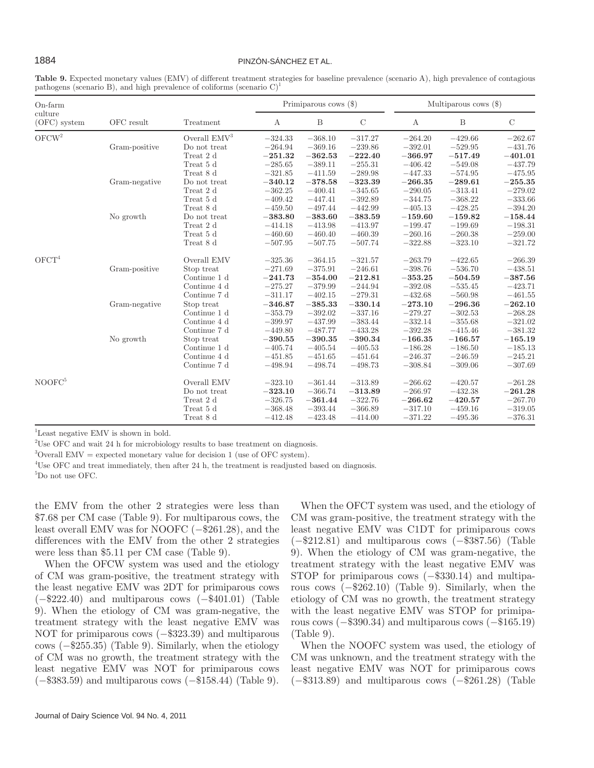### 1884 PINZÓN-SÁNCHEZ ET AL.

**Table 9.** Expected monetary values (EMV) of different treatment strategies for baseline prevalence (scenario A), high prevalence of contagious pathogens (scenario B), and high prevalence of coliforms (scenario  $C$ )<sup>1</sup>

| On-farm                   |               |                       |           | Primiparous cows (\$) |             | Multiparous cows $(\$)$ |           |               |  |
|---------------------------|---------------|-----------------------|-----------|-----------------------|-------------|-------------------------|-----------|---------------|--|
| culture<br>$(OFC)$ system | OFC result    | Treatment             | A         | B                     | $\mathbf C$ | A                       | B         | $\mathcal{C}$ |  |
| $\mathrm{OFCW}^2$         |               | Overall $EMV3$        | $-324.33$ | $-368.10$             | $-317.27$   | $-264.20$               | $-429.66$ | $-262.67$     |  |
|                           | Gram-positive | Do not treat          | $-264.94$ | $-369.16$             | $-239.86$   | $-392.01$               | $-529.95$ | $-431.76$     |  |
|                           |               | Treat 2 d             | $-251.32$ | $-362.53$             | $-222.40$   | $-366.97$               | $-517.49$ | $-401.01$     |  |
|                           |               | Treat 5 d             | $-285.65$ | $-389.11$             | $-255.31$   | $-406.42$               | $-549.08$ | $-437.79$     |  |
|                           |               | Treat 8 d             | $-321.85$ | $-411.59$             | $-289.98$   | $-447.33$               | $-574.95$ | $-475.95$     |  |
|                           | Gram-negative | Do not treat          | $-340.12$ | $-378.58$             | $-323.39$   | $-266.35$               | $-289.61$ | $-255.35$     |  |
|                           |               | Treat $2\ \mathrm{d}$ | $-362.25$ | $-400.41$             | $-345.65$   | $-290.05$               | $-313.41$ | $-279.02$     |  |
|                           |               | Treat 5 d             | $-409.42$ | $-447.41$             | $-392.89$   | $-344.75$               | $-368.22$ | $-333.66$     |  |
|                           |               | Treat 8 d             | $-459.50$ | $-497.44$             | $-442.99$   | $-405.13$               | $-428.25$ | $-394.20$     |  |
|                           | No growth     | Do not treat          | $-383.80$ | $-383.60$             | $-383.59$   | $-159.60$               | $-159.82$ | $-158.44$     |  |
|                           |               | Treat $2\ \mathrm{d}$ | $-414.18$ | $-413.98$             | $-413.97$   | $-199.47$               | $-199.69$ | $-198.31$     |  |
|                           |               | Treat 5 d             | $-460.60$ | $-460.40$             | $-460.39$   | $-260.16$               | $-260.38$ | $-259.00$     |  |
|                           |               | Treat 8 d             | $-507.95$ | $-507.75$             | $-507.74$   | $-322.88$               | $-323.10$ | $-321.72$     |  |
| OFCT <sup>4</sup>         |               | Overall EMV           | $-325.36$ | $-364.15$             | $-321.57$   | $-263.79$               | $-422.65$ | $-266.39$     |  |
|                           | Gram-positive | Stop treat            | $-271.69$ | $-375.91$             | $-246.61$   | $-398.76$               | $-536.70$ | $-438.51$     |  |
|                           |               | Continue 1 d          | $-241.73$ | $-354.00$             | $-212.81$   | $-353.25$               | $-504.59$ | $-387.56$     |  |
|                           |               | Continue 4 d          | $-275.27$ | $-379.99$             | $-244.94$   | $-392.08$               | $-535.45$ | $-423.71$     |  |
|                           |               | Continue 7 d          | $-311.17$ | $-402.15$             | $-279.31$   | $-432.68$               | $-560.98$ | $-461.55$     |  |
|                           | Gram-negative | Stop treat            | $-346.87$ | $-385.33$             | $-330.14$   | $-273.10$               | $-296.36$ | $-262.10$     |  |
|                           |               | Continue 1 d          | $-353.79$ | $-392.02$             | $-337.16$   | $-279.27$               | $-302.53$ | $-268.28$     |  |
|                           |               | Continue 4 d          | $-399.97$ | $-437.99$             | $-383.44$   | $-332.14$               | $-355.68$ | $-321.02$     |  |
|                           |               | Continue 7 d          | $-449.80$ | $-487.77$             | $-433.28$   | $-392.28$               | $-415.46$ | $-381.32$     |  |
|                           | No growth     | Stop treat            | $-390.55$ | $-390.35$             | $-390.34$   | $-166.35$               | $-166.57$ | $-165.19$     |  |
|                           |               | Continue 1 d          | $-405.74$ | $-405.54$             | $-405.53$   | $-186.28$               | $-186.50$ | $-185.13$     |  |
|                           |               | Continue 4 d          | $-451.85$ | $-451.65$             | $-451.64$   | $-246.37$               | $-246.59$ | $-245.21$     |  |
|                           |               | Continue 7 d          | $-498.94$ | $-498.74$             | $-498.73$   | $-308.84$               | $-309.06$ | $-307.69$     |  |
| NOOFC <sup>5</sup>        |               | Overall EMV           | $-323.10$ | $-361.44$             | $-313.89$   | $-266.62$               | $-420.57$ | $-261.28$     |  |
|                           |               | Do not treat          | $-323.10$ | $-366.74$             | $-313.89$   | $-266.97$               | $-432.38$ | $-261.28$     |  |
|                           |               | Treat 2 d             | $-326.75$ | $-361.44$             | $-322.76$   | $-266.62$               | $-420.57$ | $-267.70$     |  |
|                           |               | Treat 5 d             | $-368.48$ | $-393.44$             | $-366.89$   | $-317.10$               | $-459.16$ | $-319.05$     |  |
|                           |               | Treat 8 d             | $-412.48$ | $-423.48$             | $-414.00$   | $-371.22$               | $-495.36$ | $-376.31$     |  |

<sup>1</sup>Least negative EMV is shown in bold.

<sup>2</sup>Use OFC and wait 24 h for microbiology results to base treatment on diagnosis.

<sup>3</sup>Overall EMV = expected monetary value for decision 1 (use of OFC system).

4 Use OFC and treat immediately, then after 24 h, the treatment is readjusted based on diagnosis.

5 Do not use OFC.

the EMV from the other 2 strategies were less than \$7.68 per CM case (Table 9). For multiparous cows, the least overall EMV was for NOOFC (−\$261.28), and the differences with the EMV from the other 2 strategies were less than \$5.11 per CM case (Table 9).

When the OFCW system was used and the etiology of CM was gram-positive, the treatment strategy with the least negative EMV was 2DT for primiparous cows (−\$222.40) and multiparous cows (−\$401.01) (Table 9). When the etiology of CM was gram-negative, the treatment strategy with the least negative EMV was NOT for primiparous cows (−\$323.39) and multiparous cows (−\$255.35) (Table 9). Similarly, when the etiology of CM was no growth, the treatment strategy with the least negative EMV was NOT for primiparous cows (−\$383.59) and multiparous cows (−\$158.44) (Table 9).

When the OFCT system was used, and the etiology of CM was gram-positive, the treatment strategy with the least negative EMV was C1DT for primiparous cows (−\$212.81) and multiparous cows (−\$387.56) (Table 9). When the etiology of CM was gram-negative, the treatment strategy with the least negative EMV was STOP for primiparous cows (−\$330.14) and multiparous cows  $(-\$262.10)$  (Table 9). Similarly, when the etiology of CM was no growth, the treatment strategy with the least negative EMV was STOP for primiparous cows (−\$390.34) and multiparous cows (−\$165.19) (Table 9).

When the NOOFC system was used, the etiology of CM was unknown, and the treatment strategy with the least negative EMV was NOT for primiparous cows (−\$313.89) and multiparous cows (−\$261.28) (Table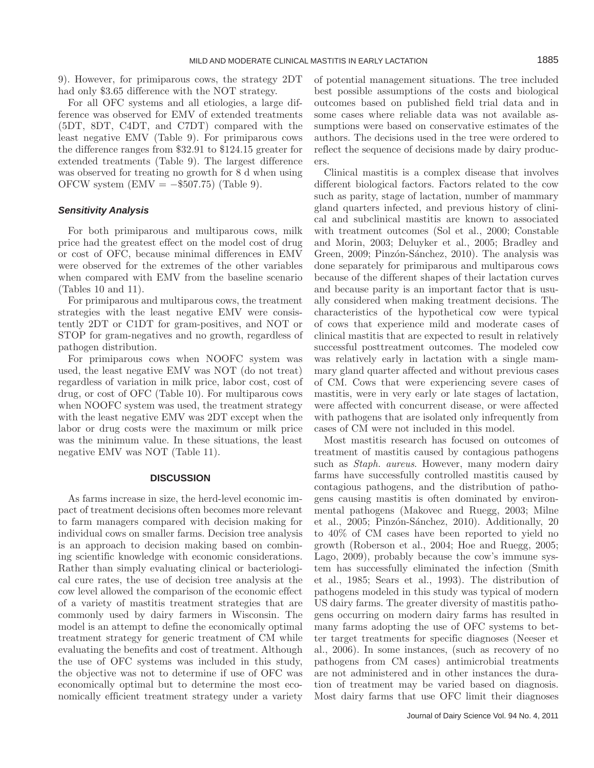9). However, for primiparous cows, the strategy 2DT had only \$3.65 difference with the NOT strategy.

For all OFC systems and all etiologies, a large difference was observed for EMV of extended treatments (5DT, 8DT, C4DT, and C7DT) compared with the least negative EMV (Table 9). For primiparous cows the difference ranges from \$32.91 to \$124.15 greater for extended treatments (Table 9). The largest difference was observed for treating no growth for 8 d when using OFCW system  $(EMV = -\$507.75)$  (Table 9).

## *Sensitivity Analysis*

For both primiparous and multiparous cows, milk price had the greatest effect on the model cost of drug or cost of OFC, because minimal differences in EMV were observed for the extremes of the other variables when compared with EMV from the baseline scenario (Tables 10 and 11).

For primiparous and multiparous cows, the treatment strategies with the least negative EMV were consistently 2DT or C1DT for gram-positives, and NOT or STOP for gram-negatives and no growth, regardless of pathogen distribution.

For primiparous cows when NOOFC system was used, the least negative EMV was NOT (do not treat) regardless of variation in milk price, labor cost, cost of drug, or cost of OFC (Table 10). For multiparous cows when NOOFC system was used, the treatment strategy with the least negative EMV was 2DT except when the labor or drug costs were the maximum or milk price was the minimum value. In these situations, the least negative EMV was NOT (Table 11).

#### **DISCUSSION**

As farms increase in size, the herd-level economic impact of treatment decisions often becomes more relevant to farm managers compared with decision making for individual cows on smaller farms. Decision tree analysis is an approach to decision making based on combining scientific knowledge with economic considerations. Rather than simply evaluating clinical or bacteriological cure rates, the use of decision tree analysis at the cow level allowed the comparison of the economic effect of a variety of mastitis treatment strategies that are commonly used by dairy farmers in Wisconsin. The model is an attempt to define the economically optimal treatment strategy for generic treatment of CM while evaluating the benefits and cost of treatment. Although the use of OFC systems was included in this study, the objective was not to determine if use of OFC was economically optimal but to determine the most economically efficient treatment strategy under a variety of potential management situations. The tree included best possible assumptions of the costs and biological outcomes based on published field trial data and in some cases where reliable data was not available assumptions were based on conservative estimates of the authors. The decisions used in the tree were ordered to reflect the sequence of decisions made by dairy producers.

Clinical mastitis is a complex disease that involves different biological factors. Factors related to the cow such as parity, stage of lactation, number of mammary gland quarters infected, and previous history of clinical and subclinical mastitis are known to associated with treatment outcomes (Sol et al., 2000; Constable and Morin, 2003; Deluyker et al., 2005; Bradley and Green, 2009; Pinzón-Sánchez, 2010). The analysis was done separately for primiparous and multiparous cows because of the different shapes of their lactation curves and because parity is an important factor that is usually considered when making treatment decisions. The characteristics of the hypothetical cow were typical of cows that experience mild and moderate cases of clinical mastitis that are expected to result in relatively successful posttreatment outcomes. The modeled cow was relatively early in lactation with a single mammary gland quarter affected and without previous cases of CM. Cows that were experiencing severe cases of mastitis, were in very early or late stages of lactation, were affected with concurrent disease, or were affected with pathogens that are isolated only infrequently from cases of CM were not included in this model.

Most mastitis research has focused on outcomes of treatment of mastitis caused by contagious pathogens such as *Staph. aureus*. However, many modern dairy farms have successfully controlled mastitis caused by contagious pathogens, and the distribution of pathogens causing mastitis is often dominated by environmental pathogens (Makovec and Ruegg, 2003; Milne et al., 2005; Pinzón-Sánchez, 2010). Additionally, 20 to 40% of CM cases have been reported to yield no growth (Roberson et al., 2004; Hoe and Ruegg, 2005; Lago, 2009), probably because the cow's immune system has successfully eliminated the infection (Smith et al., 1985; Sears et al., 1993). The distribution of pathogens modeled in this study was typical of modern US dairy farms. The greater diversity of mastitis pathogens occurring on modern dairy farms has resulted in many farms adopting the use of OFC systems to better target treatments for specific diagnoses (Neeser et al., 2006). In some instances, (such as recovery of no pathogens from CM cases) antimicrobial treatments are not administered and in other instances the duration of treatment may be varied based on diagnosis. Most dairy farms that use OFC limit their diagnoses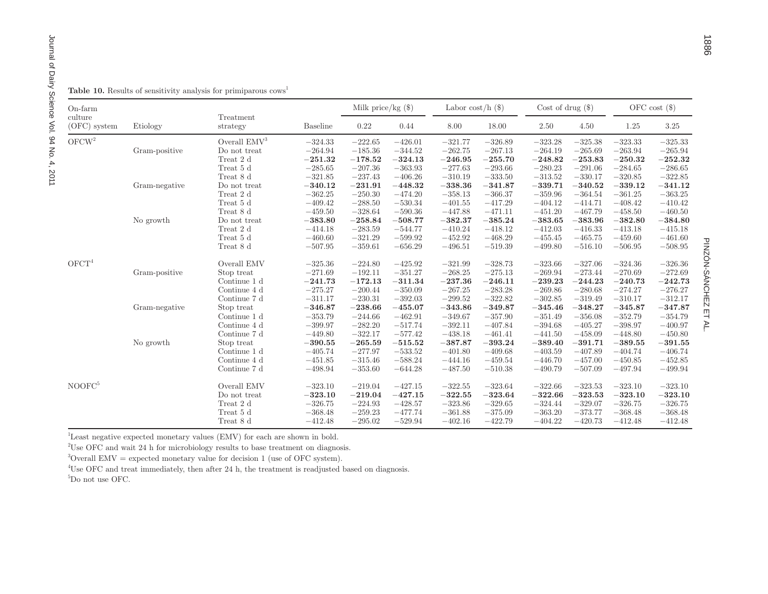|                    |               | <b>Table 10.</b> Results of sensitivity analysis for primiparous cows <sup>1</sup> |                 |                      |             |                      |           |                     |           |           |                 |                      |
|--------------------|---------------|------------------------------------------------------------------------------------|-----------------|----------------------|-------------|----------------------|-----------|---------------------|-----------|-----------|-----------------|----------------------|
| On-farm<br>culture |               | ${\bf Treatment}$                                                                  |                 | Milk price/kg $(\$)$ |             | Labor $\cosh/h$ (\$) |           | Cost of drug $(\$)$ |           |           | OFC cost $(\$)$ |                      |
| (OFC) system       | Etiology      | strategy                                                                           | <b>Baseline</b> | 0.22                 | 0.44        | 8.00                 | 18.00     | 2.50                | 4.50      | 1.25      | 3.25            |                      |
| $\rm OFCW^2$       |               | Overall $\mathrm{EMV}^3$                                                           | $-324.33$       | $-222.65$            | $-426.01$   | $-321.77$            | $-326.89$ | $-323.28$           | $-325.38$ | $-323.33$ | $-325.33$       |                      |
|                    | Gram-positive | Do not treat                                                                       | $-264.94$       | $-185.36$            | $-344.52$   | $-262.75$            | $-267.13$ | $-264.19$           | $-265.69$ | $-263.94$ | $-265.94$       |                      |
|                    |               | Treat 2 d                                                                          | $-251.32$       | $-178.52$            | $-324.13$   | $-246.95$            | $-255.70$ | $-248.82$           | $-253.83$ | $-250.32$ | $-252.32$       |                      |
|                    |               | Treat 5 d                                                                          | $-285.65$       | $-207.36$            | $-363.93$   | $-277.63$            | $-293.66$ | $-280.23$           | $-291.06$ | $-284.65$ | $-286.65$       |                      |
|                    |               | Treat 8 d                                                                          | $-321.85$       | $-237.43$            | $-406.26$   | $-310.19$            | $-333.50$ | $-313.52$           | $-330.17$ | $-320.85$ | $-322.85$       |                      |
|                    | Gram-negative | Do not treat                                                                       | $-340.12$       | $-231.91$            | $-448.32$   | $-338.36$            | $-341.87$ | $-339.71$           | $-340.52$ | $-339.12$ | $-341.12$       |                      |
|                    |               | Treat 2 d                                                                          | $-362.25$       | $-250.30$            | $-474.20$   | $-358.13$            | $-366.37$ | $-359.96$           | $-364.54$ | $-361.25$ | $-363.25$       |                      |
|                    |               | Treat 5 d                                                                          | $-409.42$       | $-288.50$            | $-530.34$   | $-401.55$            | $-417.29$ | $-404.12$           | $-414.71$ | $-408.42$ | $-410.42$       |                      |
|                    |               | Treat 8 d                                                                          | $-459.50$       | $-328.64$            | $-590.36$   | $-447.88$            | $-471.11$ | $-451.20$           | $-467.79$ | $-458.50$ | $-460.50$       |                      |
|                    | No growth     | Do not treat                                                                       | $-383.80$       | $-258.84$            | $-508.77$   | $-382.37$            | $-385.24$ | $-383.65$           | $-383.96$ | $-382.80$ | $-384.80$       |                      |
|                    |               | Treat 2 d                                                                          | $-414.18$       | $-283.59$            | $-544.77$   | $-410.24$            | $-418.12$ | $-412.03$           | $-416.33$ | $-413.18$ | $-415.18$       |                      |
|                    |               | Treat 5 d                                                                          | $-460.60$       | $-321.29$            | $-599.92$   | $-452.92$            | $-468.29$ | $-455.45$           | $-465.75$ | $-459.60$ | $-461.60$       |                      |
|                    |               | Treat 8 d                                                                          | $-507.95$       | $-359.61$            | $-656.29$   | $-496.51$            | $-519.39$ | $-499.80$           | $-516.10$ | $-506.95$ | $-508.95$       |                      |
| ${\rm OFCT}^4$     |               | Overall EMV                                                                        | $-325.36$       | $-224.80$            | $-425.92$   | $-321.99$            | $-328.73$ | $-323.66$           | $-327.06$ | $-324.36$ | $-326.36$       | PINZON-SANCHEZ ET AL |
|                    | Gram-positive | Stop treat                                                                         | $-271.69$       | $-192.11$            | $-351.27$   | $-268.25$            | $-275.13$ | $-269.94$           | $-273.44$ | $-270.69$ | $-272.69$       |                      |
|                    |               | Continue $1\ \mathrm{d}$                                                           | $-241.73$       | $-172.13$            | $-311.34$   | $-237.36$            | $-246.11$ | $-239.23$           | $-244.23$ | $-240.73$ | $-242.73$       |                      |
|                    |               | Continue 4 d                                                                       | $-275.27$       | $-200.44$            | $-350.09$   | $-267.25$            | $-283.28$ | $-269.86$           | $-280.68$ | $-274.27$ | $-276.27$       |                      |
|                    |               | Continue 7 d                                                                       | $-311.17$       | $-230.31$            | $-392.03$   | $-299.52$            | $-322.82$ | $-302.85$           | $-319.49$ | $-310.17$ | $-312.17$       |                      |
|                    | Gram-negative | Stop treat                                                                         | $-346.87$       | $-238.66$            | $-455.07$   | $-343.86$            | $-349.87$ | $-345.46$           | $-348.27$ | $-345.87$ | $-347.87$       |                      |
|                    |               | Continue $1\ \mathrm{d}$                                                           | $-353.79$       | $-244.66$            | $-462.91$   | $-349.67$            | $-357.90$ | $-351.49$           | $-356.08$ | $-352.79$ | $-354.79$       |                      |
|                    |               | Continue 4 d                                                                       | $-399.97$       | $-282.20$            | $-517.74$   | $-392.11$            | $-407.84$ | $-394.68$           | $-405.27$ | $-398.97$ | $-400.97$       |                      |
|                    |               | Continue 7 d                                                                       | $-449.80$       | $-322.17$            | $-577.42$   | $-438.18$            | $-461.41$ | $-441.50$           | $-458.09$ | $-448.80$ | $-450.80$       |                      |
|                    | No growth     | Stop treat                                                                         | $-390.55$       | $-265.59$            | $\!-515.52$ | $-387.87$            | $-393.24$ | $-389.40$           | $-391.71$ | $-389.55$ | $-391.55$       |                      |
|                    |               | Continue $1\ \mathrm{d}$                                                           | $-405.74$       | $-277.97$            | $-533.52$   | $-401.80$            | $-409.68$ | $-403.59$           | $-407.89$ | $-404.74$ | $-406.74$       |                      |
|                    |               | Continue 4 d                                                                       | $-451.85$       | $-315.46$            | $-588.24$   | $-444.16$            | $-459.54$ | $-446.70$           | $-457.00$ | $-450.85$ | $-452.85$       |                      |
|                    |               | Continue 7 d                                                                       | $-498.94$       | $-353.60$            | $-644.28$   | $-487.50$            | $-510.38$ | $-490.79$           | $-507.09$ | $-497.94$ | $-499.94$       |                      |
| $\mathrm{NOOFC}^5$ |               | Overall EMV                                                                        | $-323.10$       | $-219.04$            | $-427.15$   | $-322.55$            | $-323.64$ | $-322.66$           | $-323.53$ | $-323.10$ | $-323.10$       |                      |
|                    |               | Do not treat                                                                       | $-323.10$       | $-219.04$            | $-427.15$   | $-322.55$            | $-323.64$ | $-322.66$           | $-323.53$ | $-323.10$ | $-323.10$       |                      |
|                    |               | Treat 2 d                                                                          | $-326.75$       | $-224.93$            | $-428.57$   | $-323.86$            | $-329.65$ | $-324.44$           | $-329.07$ | $-326.75$ | $-326.75$       |                      |
|                    |               | Treat 5 d                                                                          | $-368.48$       | $-259.23$            | $-477.74$   | $-361.88$            | $-375.09$ | $-363.20$           | $-373.77$ | $-368.48$ | $-368.48$       |                      |
|                    |               | Treat 8 d                                                                          | $-412.48$       | $-295.02$            | $-529.94$   | $-402.16$            | $-422.79$ | $-404.22$           | $-420.73$ | $-412.48$ | $-412.48$       |                      |

<sup>1</sup>Least negative expected monetary values (EMV) for each are shown in bold.

<sup>2</sup>Use OFC and wait 24 h for microbiology results to base treatment on diagnosis.

<sup>3</sup>Overall EMV = expected monetary value for decision 1 (use of OFC system).

<sup>4</sup>Use OFC and treat immediately, then after 24 h, the treatment is readjusted based on diagnosis.

 $^5\rm{Do}$  not use OFC.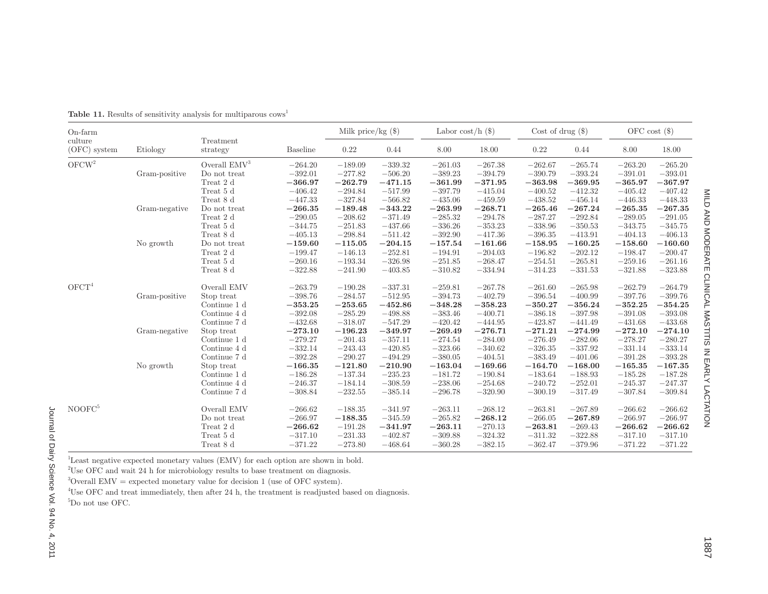| $On-farm$<br>culture<br>(OFC) system | Etiology      | Treatment<br>strategy    |                 | Milk price/kg $(\$)$ |           | Labor $\cosh/h$ (\$) |           | Cost of drug $(\$)$ |           | OFC cost $(\$)$ |           |
|--------------------------------------|---------------|--------------------------|-----------------|----------------------|-----------|----------------------|-----------|---------------------|-----------|-----------------|-----------|
|                                      |               |                          | <b>Baseline</b> | 0.22                 | 0.44      | 8.00                 | 18.00     | 0.22                | 0.44      | 8.00            | 18.00     |
| $OFCW^2$                             |               | Overall $\mathrm{EMV}^3$ | $-264.20$       | $-189.09$            | $-339.32$ | $-261.03$            | $-267.38$ | $-262.67$           | $-265.74$ | $-263.20$       | $-265.20$ |
|                                      | Gram-positive | Do not treat             | $-392.01$       | $-277.82$            | $-506.20$ | $-389.23$            | $-394.79$ | $-390.79$           | $-393.24$ | $-391.01$       | $-393.01$ |
|                                      |               | Treat 2 d                | $-366.97$       | $-262.79$            | $-471.15$ | $-361.99$            | $-371.95$ | $-363.98$           | $-369.95$ | $-365.97$       | $-367.97$ |
|                                      |               | Treat 5 d                | $-406.42$       | $-294.84$            | $-517.99$ | $-397.79$            | $-415.04$ | $-400.52$           | $-412.32$ | $-405.42$       | $-407.42$ |
|                                      |               | Treat 8 d                | $-447.33$       | $-327.84$            | $-566.82$ | $-435.06$            | $-459.59$ | $-438.52$           | $-456.14$ | $-446.33$       | $-448.33$ |
|                                      | Gram-negative | Do not treat             | $-266.35$       | $-189.48$            | $-343.22$ | $-263.99$            | $-268.71$ | $-265.46$           | $-267.24$ | $-265.35$       | $-267.35$ |
|                                      |               | Treat 2 d                | $-290.05$       | $-208.62$            | $-371.49$ | $-285.32$            | $-294.78$ | $-287.27$           | $-292.84$ | $-289.05$       | $-291.05$ |
|                                      |               | Treat 5 d                | $-344.75$       | $-251.83$            | $-437.66$ | $-336.26$            | $-353.23$ | $-338.96$           | $-350.53$ | $-343.75$       | $-345.75$ |
|                                      |               | Treat 8 d                | $-405.13$       | $-298.84$            | $-511.42$ | $-392.90$            | $-417.36$ | $-396.35$           | $-413.91$ | $-404.13$       | $-406.13$ |
|                                      | No growth     | Do not treat             | $-159.60$       | $-115.05$            | $-204.15$ | $-157.54$            | $-161.66$ | $-158.95$           | $-160.25$ | $-158.60$       | $-160.60$ |
|                                      |               | Treat 2 d                | $-199.47$       | $-146.13$            | $-252.81$ | $-194.91$            | $-204.03$ | $-196.82$           | $-202.12$ | $-198.47$       | $-200.47$ |
|                                      |               | Treat 5 d                | $-260.16$       | $-193.34$            | $-326.98$ | $-251.85$            | $-268.47$ | $-254.51$           | $-265.81$ | $-259.16$       | $-261.16$ |
|                                      |               | Treat 8 d                | $-322.88$       | $-241.90$            | $-403.85$ | $-310.82$            | $-334.94$ | $-314.23$           | $-331.53$ | $-321.88$       | $-323.88$ |
| OFCT <sup>4</sup>                    |               | Overall EMV              | $-263.79$       | $-190.28$            | $-337.31$ | $-259.81$            | $-267.78$ | $-261.60$           | $-265.98$ | $-262.79$       | $-264.79$ |
|                                      | Gram-positive | Stop treat               | $-398.76$       | $-284.57$            | $-512.95$ | $-394.73$            | $-402.79$ | $-396.54$           | $-400.99$ | $-397.76$       | $-399.76$ |
|                                      |               | Continue 1 d             | $-353.25$       | $-253.65$            | $-452.86$ | $-348.28$            | $-358.23$ | $-350.27$           | $-356.24$ | $-352.25$       | $-354.25$ |
|                                      |               | Continue 4 d             | $-392.08$       | $-285.29$            | $-498.88$ | $-383.46$            | $-400.71$ | $-386.18$           | $-397.98$ | $-391.08$       | $-393.08$ |
|                                      |               | Continue 7 d             | $-432.68$       | $-318.07$            | $-547.29$ | $-420.42$            | $-444.95$ | $-423.87$           | $-441.49$ | $-431.68$       | $-433.68$ |
|                                      | Gram-negative | Stop treat               | $-273.10$       | $-196.23$            | $-349.97$ | $-269.49$            | $-276.71$ | $-271.21$           | $-274.99$ | $-272.10$       | $-274.10$ |
|                                      |               | Continue 1 d             | $-279.27$       | $-201.43$            | $-357.11$ | $-274.54$            | $-284.00$ | $-276.49$           | $-282.06$ | $-278.27$       | $-280.27$ |
|                                      |               | Continue 4 d             | $-332.14$       | $-243.43$            | $-420.85$ | $-323.66$            | $-340.62$ | $-326.35$           | $-337.92$ | $-331.14$       | $-333.14$ |
|                                      |               | Continue 7 d             | $-392.28$       | $-290.27$            | $-494.29$ | $-380.05$            | $-404.51$ | $-383.49$           | $-401.06$ | $-391.28$       | $-393.28$ |
|                                      | No growth     | Stop treat               | $-166.35$       | $-121.80$            | $-210.90$ | $-163.04$            | $-169.66$ | $-164.70$           | $-168.00$ | $-165.35$       | $-167.35$ |
|                                      |               | Continue 1 d             | $-186.28$       | $-137.34$            | $-235.23$ | $-181.72$            | $-190.84$ | $-183.64$           | $-188.93$ | $-185.28$       | $-187.28$ |
|                                      |               | Continue 4 d             | $-246.37$       | $-184.14$            | $-308.59$ | $-238.06$            | $-254.68$ | $-240.72$           | $-252.01$ | $-245.37$       | $-247.37$ |
|                                      |               | Continue 7 d             | $-308.84$       | $-232.55$            | $-385.14$ | $-296.78$            | $-320.90$ | $-300.19$           | $-317.49$ | $-307.84$       | $-309.84$ |
| NOOFC <sup>5</sup>                   |               | Overall EMV              | $-266.62$       | $-188.35$            | $-341.97$ | $-263.11$            | $-268.12$ | $-263.81$           | $-267.89$ | $-266.62$       | $-266.62$ |
|                                      |               | Do not treat             | $-266.97$       | $-188.35$            | $-345.59$ | $-265.82$            | $-268.12$ | $-266.05$           | $-267.89$ | $-266.97$       | $-266.97$ |
|                                      |               | Treat 2 d                | $-266.62$       | $-191.28$            | $-341.97$ | $-263.11$            | $-270.13$ | $-263.81$           | $-269.43$ | $-266.62$       | $-266.62$ |
|                                      |               | Treat 5 d                | $-317.10$       | $-231.33$            | $-402.87$ | $-309.88$            | $-324.32$ | $-311.32$           | $-322.88$ | $-317.10$       | $-317.10$ |
|                                      |               | Treat 8 d                | $-371.22$       | $-273.80$            | $-468.64$ | $-360.28$            | $-382.15$ | $-362.47$           | $-379.96$ | $-371.22$       | $-371.22$ |

**Table 11.** Results of sensitivity analysis for multiparous  $\cos^1$ 

<sup>1</sup>Least negative expected monetary values (EMV) for each option are shown in bold.

<sup>2</sup>Use OFC and wait 24 h for microbiology results to base treatment on diagnosis.

 $3$ Overall EMV = expected monetary value for decision 1 (use of OFC system).

<sup>4</sup>Use OFC and treat immediately, then after 24 h, the treatment is readjusted based on diagnosis.

 ${}^{5}$  Do not use OFC.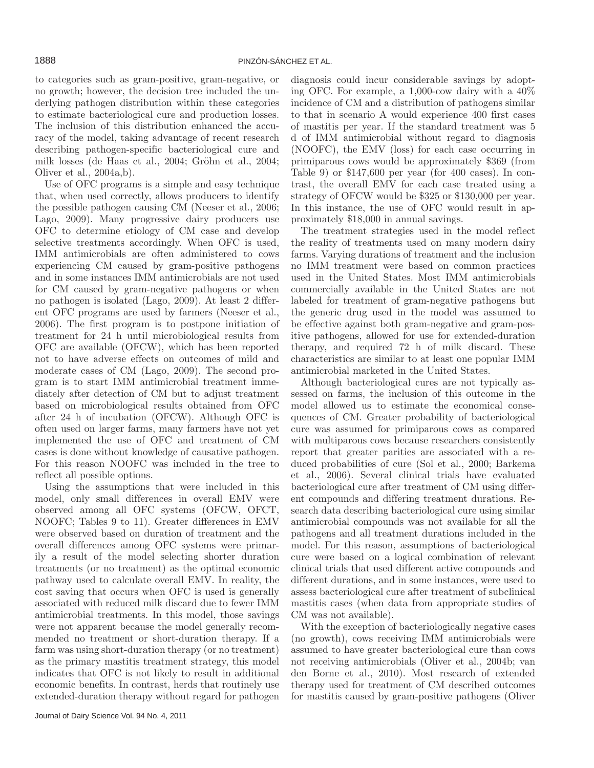to categories such as gram-positive, gram-negative, or no growth; however, the decision tree included the underlying pathogen distribution within these categories to estimate bacteriological cure and production losses. The inclusion of this distribution enhanced the accuracy of the model, taking advantage of recent research describing pathogen-specific bacteriological cure and milk losses (de Haas et al., 2004; Gröhn et al., 2004; Oliver et al., 2004a,b).

Use of OFC programs is a simple and easy technique that, when used correctly, allows producers to identify the possible pathogen causing CM (Neeser et al., 2006; Lago, 2009). Many progressive dairy producers use OFC to determine etiology of CM case and develop selective treatments accordingly. When OFC is used, IMM antimicrobials are often administered to cows experiencing CM caused by gram-positive pathogens and in some instances IMM antimicrobials are not used for CM caused by gram-negative pathogens or when no pathogen is isolated (Lago, 2009). At least 2 different OFC programs are used by farmers (Neeser et al., 2006). The first program is to postpone initiation of treatment for 24 h until microbiological results from OFC are available (OFCW), which has been reported not to have adverse effects on outcomes of mild and moderate cases of CM (Lago, 2009). The second program is to start IMM antimicrobial treatment immediately after detection of CM but to adjust treatment based on microbiological results obtained from OFC after 24 h of incubation (OFCW). Although OFC is often used on larger farms, many farmers have not yet implemented the use of OFC and treatment of CM cases is done without knowledge of causative pathogen. For this reason NOOFC was included in the tree to reflect all possible options.

Using the assumptions that were included in this model, only small differences in overall EMV were observed among all OFC systems (OFCW, OFCT, NOOFC; Tables 9 to 11). Greater differences in EMV were observed based on duration of treatment and the overall differences among OFC systems were primarily a result of the model selecting shorter duration treatments (or no treatment) as the optimal economic pathway used to calculate overall EMV. In reality, the cost saving that occurs when OFC is used is generally associated with reduced milk discard due to fewer IMM antimicrobial treatments. In this model, those savings were not apparent because the model generally recommended no treatment or short-duration therapy. If a farm was using short-duration therapy (or no treatment) as the primary mastitis treatment strategy, this model indicates that OFC is not likely to result in additional economic benefits. In contrast, herds that routinely use extended-duration therapy without regard for pathogen

diagnosis could incur considerable savings by adopting OFC. For example, a 1,000-cow dairy with a 40% incidence of CM and a distribution of pathogens similar to that in scenario A would experience 400 first cases of mastitis per year. If the standard treatment was 5 d of IMM antimicrobial without regard to diagnosis (NOOFC), the EMV (loss) for each case occurring in primiparous cows would be approximately \$369 (from Table 9) or \$147,600 per year (for 400 cases). In contrast, the overall EMV for each case treated using a strategy of OFCW would be \$325 or \$130,000 per year. In this instance, the use of OFC would result in approximately \$18,000 in annual savings.

The treatment strategies used in the model reflect the reality of treatments used on many modern dairy farms. Varying durations of treatment and the inclusion no IMM treatment were based on common practices used in the United States. Most IMM antimicrobials commercially available in the United States are not labeled for treatment of gram-negative pathogens but the generic drug used in the model was assumed to be effective against both gram-negative and gram-positive pathogens, allowed for use for extended-duration therapy, and required 72 h of milk discard. These characteristics are similar to at least one popular IMM antimicrobial marketed in the United States.

Although bacteriological cures are not typically assessed on farms, the inclusion of this outcome in the model allowed us to estimate the economical consequences of CM. Greater probability of bacteriological cure was assumed for primiparous cows as compared with multiparous cows because researchers consistently report that greater parities are associated with a reduced probabilities of cure (Sol et al., 2000; Barkema et al., 2006). Several clinical trials have evaluated bacteriological cure after treatment of CM using different compounds and differing treatment durations. Research data describing bacteriological cure using similar antimicrobial compounds was not available for all the pathogens and all treatment durations included in the model. For this reason, assumptions of bacteriological cure were based on a logical combination of relevant clinical trials that used different active compounds and different durations, and in some instances, were used to assess bacteriological cure after treatment of subclinical mastitis cases (when data from appropriate studies of CM was not available).

With the exception of bacteriologically negative cases (no growth), cows receiving IMM antimicrobials were assumed to have greater bacteriological cure than cows not receiving antimicrobials (Oliver et al., 2004b; van den Borne et al., 2010). Most research of extended therapy used for treatment of CM described outcomes for mastitis caused by gram-positive pathogens (Oliver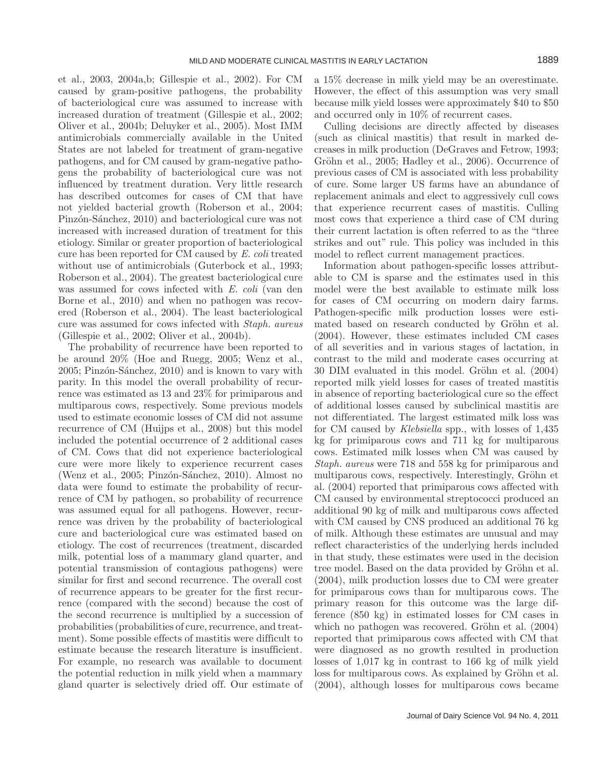et al., 2003, 2004a,b; Gillespie et al., 2002). For CM caused by gram-positive pathogens, the probability of bacteriological cure was assumed to increase with increased duration of treatment (Gillespie et al., 2002; Oliver et al., 2004b; Deluyker et al., 2005). Most IMM antimicrobials commercially available in the United States are not labeled for treatment of gram-negative pathogens, and for CM caused by gram-negative pathogens the probability of bacteriological cure was not influenced by treatment duration. Very little research has described outcomes for cases of CM that have not yielded bacterial growth (Roberson et al., 2004; Pinzón-Sánchez, 2010) and bacteriological cure was not increased with increased duration of treatment for this etiology. Similar or greater proportion of bacteriological cure has been reported for CM caused by *E. coli* treated without use of antimicrobials (Guterbock et al., 1993; Roberson et al., 2004). The greatest bacteriological cure was assumed for cows infected with *E. coli* (van den Borne et al., 2010) and when no pathogen was recovered (Roberson et al., 2004). The least bacteriological cure was assumed for cows infected with *Staph. aureus* (Gillespie et al., 2002; Oliver et al., 2004b).

The probability of recurrence have been reported to be around 20% (Hoe and Ruegg, 2005; Wenz et al., 2005; Pinzón-Sánchez, 2010) and is known to vary with parity. In this model the overall probability of recurrence was estimated as 13 and 23% for primiparous and multiparous cows, respectively. Some previous models used to estimate economic losses of CM did not assume recurrence of CM (Huijps et al., 2008) but this model included the potential occurrence of 2 additional cases of CM. Cows that did not experience bacteriological cure were more likely to experience recurrent cases (Wenz et al., 2005; Pinzón-Sánchez, 2010). Almost no data were found to estimate the probability of recurrence of CM by pathogen, so probability of recurrence was assumed equal for all pathogens. However, recurrence was driven by the probability of bacteriological cure and bacteriological cure was estimated based on etiology. The cost of recurrences (treatment, discarded milk, potential loss of a mammary gland quarter, and potential transmission of contagious pathogens) were similar for first and second recurrence. The overall cost of recurrence appears to be greater for the first recurrence (compared with the second) because the cost of the second recurrence is multiplied by a succession of probabilities (probabilities of cure, recurrence, and treatment). Some possible effects of mastitis were difficult to estimate because the research literature is insufficient. For example, no research was available to document the potential reduction in milk yield when a mammary gland quarter is selectively dried off. Our estimate of

a 15% decrease in milk yield may be an overestimate. However, the effect of this assumption was very small because milk yield losses were approximately \$40 to \$50 and occurred only in 10% of recurrent cases.

Culling decisions are directly affected by diseases (such as clinical mastitis) that result in marked decreases in milk production (DeGraves and Fetrow, 1993; Gröhn et al., 2005; Hadley et al., 2006). Occurrence of previous cases of CM is associated with less probability of cure. Some larger US farms have an abundance of replacement animals and elect to aggressively cull cows that experience recurrent cases of mastitis. Culling most cows that experience a third case of CM during their current lactation is often referred to as the "three strikes and out" rule. This policy was included in this model to reflect current management practices.

Information about pathogen-specific losses attributable to CM is sparse and the estimates used in this model were the best available to estimate milk loss for cases of CM occurring on modern dairy farms. Pathogen-specific milk production losses were estimated based on research conducted by Gröhn et al. (2004). However, these estimates included CM cases of all severities and in various stages of lactation, in contrast to the mild and moderate cases occurring at 30 DIM evaluated in this model. Gröhn et al. (2004) reported milk yield losses for cases of treated mastitis in absence of reporting bacteriological cure so the effect of additional losses caused by subclinical mastitis are not differentiated. The largest estimated milk loss was for CM caused by *Klebsiella* spp., with losses of 1,435 kg for primiparous cows and 711 kg for multiparous cows. Estimated milk losses when CM was caused by *Staph. aureus* were 718 and 558 kg for primiparous and multiparous cows, respectively. Interestingly, Gröhn et al. (2004) reported that primiparous cows affected with CM caused by environmental streptococci produced an additional 90 kg of milk and multiparous cows affected with CM caused by CNS produced an additional 76 kg of milk. Although these estimates are unusual and may reflect characteristics of the underlying herds included in that study, these estimates were used in the decision tree model. Based on the data provided by Gröhn et al. (2004), milk production losses due to CM were greater for primiparous cows than for multiparous cows. The primary reason for this outcome was the large difference (850 kg) in estimated losses for CM cases in which no pathogen was recovered. Gröhn et al. (2004) reported that primiparous cows affected with CM that were diagnosed as no growth resulted in production losses of 1,017 kg in contrast to 166 kg of milk yield loss for multiparous cows. As explained by Gröhn et al. (2004), although losses for multiparous cows became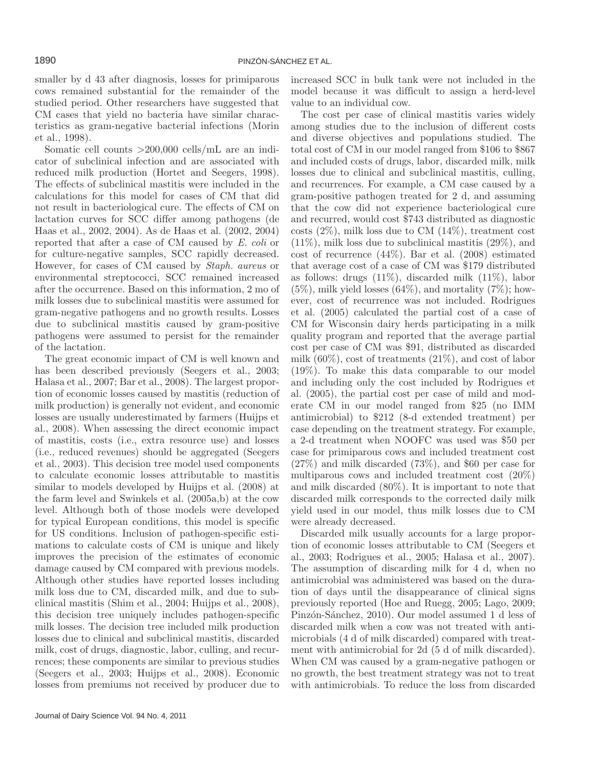smaller by d 43 after diagnosis, losses for primiparous cows remained substantial for the remainder of the studied period. Other researchers have suggested that CM cases that yield no bacteria have similar characteristics as gram-negative bacterial infections (Morin et al., 1998).

Somatic cell counts >200,000 cells/mL are an indicator of subclinical infection and are associated with reduced milk production (Hortet and Seegers, 1998). The effects of subclinical mastitis were included in the calculations for this model for cases of CM that did not result in bacteriological cure. The effects of CM on lactation curves for SCC differ among pathogens (de Haas et al., 2002, 2004). As de Haas et al. (2002, 2004) reported that after a case of CM caused by *E. coli* or for culture-negative samples, SCC rapidly decreased. However, for cases of CM caused by *Staph. aureus* or environmental streptococci, SCC remained increased after the occurrence. Based on this information, 2 mo of milk losses due to subclinical mastitis were assumed for gram-negative pathogens and no growth results. Losses due to subclinical mastitis caused by gram-positive pathogens were assumed to persist for the remainder of the lactation.

The great economic impact of CM is well known and has been described previously (Seegers et al., 2003; Halasa et al., 2007; Bar et al., 2008). The largest proportion of economic losses caused by mastitis (reduction of milk production) is generally not evident, and economic losses are usually underestimated by farmers (Huijps et al., 2008). When assessing the direct economic impact of mastitis, costs (i.e., extra resource use) and losses (i.e., reduced revenues) should be aggregated (Seegers et al., 2003). This decision tree model used components to calculate economic losses attributable to mastitis similar to models developed by Huijps et al. (2008) at the farm level and Swinkels et al. (2005a,b) at the cow level. Although both of those models were developed for typical European conditions, this model is specific for US conditions. Inclusion of pathogen-specific estimations to calculate costs of CM is unique and likely improves the precision of the estimates of economic damage caused by CM compared with previous models. Although other studies have reported losses including milk loss due to CM, discarded milk, and due to subclinical mastitis (Shim et al., 2004; Huijps et al., 2008), this decision tree uniquely includes pathogen-specific milk losses. The decision tree included milk production losses due to clinical and subclinical mastitis, discarded milk, cost of drugs, diagnostic, labor, culling, and recurrences; these components are similar to previous studies (Seegers et al., 2003; Huijps et al., 2008). Economic losses from premiums not received by producer due to

increased SCC in bulk tank were not included in the model because it was difficult to assign a herd-level value to an individual cow.

The cost per case of clinical mastitis varies widely among studies due to the inclusion of different costs and diverse objectives and populations studied. The total cost of CM in our model ranged from \$106 to \$867 and included costs of drugs, labor, discarded milk, milk losses due to clinical and subclinical mastitis, culling, and recurrences. For example, a CM case caused by a gram-positive pathogen treated for 2 d, and assuming that the cow did not experience bacteriological cure and recurred, would cost \$743 distributed as diagnostic costs  $(2\%)$ , milk loss due to CM  $(14\%)$ , treatment cost (11%), milk loss due to subclinical mastitis (29%), and cost of recurrence (44%). Bar et al. (2008) estimated that average cost of a case of CM was \$179 distributed as follows: drugs (11%), discarded milk (11%), labor  $(5\%)$ , milk yield losses  $(64\%)$ , and mortality  $(7\%)$ ; however, cost of recurrence was not included. Rodrigues et al. (2005) calculated the partial cost of a case of CM for Wisconsin dairy herds participating in a milk quality program and reported that the average partial cost per case of CM was \$91, distributed as discarded milk (60%), cost of treatments (21%), and cost of labor (19%). To make this data comparable to our model and including only the cost included by Rodrigues et al. (2005), the partial cost per case of mild and moderate CM in our model ranged from \$25 (no IMM antimicrobial) to \$212 (8-d extended treatment) per case depending on the treatment strategy. For example, a 2-d treatment when NOOFC was used was \$50 per case for primiparous cows and included treatment cost (27%) and milk discarded (73%), and \$60 per case for multiparous cows and included treatment cost (20%) and milk discarded (80%). It is important to note that discarded milk corresponds to the corrected daily milk yield used in our model, thus milk losses due to CM were already decreased.

Discarded milk usually accounts for a large proportion of economic losses attributable to CM (Seegers et al., 2003; Rodrigues et al., 2005; Halasa et al., 2007). The assumption of discarding milk for 4 d, when no antimicrobial was administered was based on the duration of days until the disappearance of clinical signs previously reported (Hoe and Ruegg, 2005; Lago, 2009; Pinzón-Sánchez, 2010). Our model assumed 1 d less of discarded milk when a cow was not treated with antimicrobials (4 d of milk discarded) compared with treatment with antimicrobial for 2d (5 d of milk discarded). When CM was caused by a gram-negative pathogen or no growth, the best treatment strategy was not to treat with antimicrobials. To reduce the loss from discarded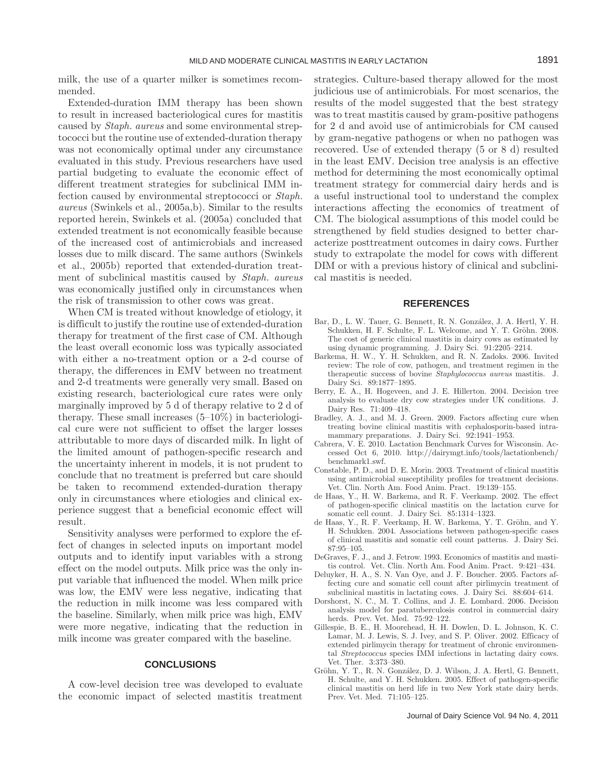milk, the use of a quarter milker is sometimes recommended.

Extended-duration IMM therapy has been shown to result in increased bacteriological cures for mastitis caused by *Staph. aureus* and some environmental streptococci but the routine use of extended-duration therapy was not economically optimal under any circumstance evaluated in this study. Previous researchers have used partial budgeting to evaluate the economic effect of different treatment strategies for subclinical IMM infection caused by environmental streptococci or *Staph. aureus* (Swinkels et al., 2005a,b). Similar to the results reported herein, Swinkels et al. (2005a) concluded that extended treatment is not economically feasible because of the increased cost of antimicrobials and increased losses due to milk discard. The same authors (Swinkels et al., 2005b) reported that extended-duration treatment of subclinical mastitis caused by *Staph. aureus* was economically justified only in circumstances when the risk of transmission to other cows was great.

When CM is treated without knowledge of etiology, it is difficult to justify the routine use of extended-duration therapy for treatment of the first case of CM. Although the least overall economic loss was typically associated with either a no-treatment option or a 2-d course of therapy, the differences in EMV between no treatment and 2-d treatments were generally very small. Based on existing research, bacteriological cure rates were only marginally improved by 5 d of therapy relative to 2 d of therapy. These small increases (5–10%) in bacteriological cure were not sufficient to offset the larger losses attributable to more days of discarded milk. In light of the limited amount of pathogen-specific research and the uncertainty inherent in models, it is not prudent to conclude that no treatment is preferred but care should be taken to recommend extended-duration therapy only in circumstances where etiologies and clinical experience suggest that a beneficial economic effect will result.

Sensitivity analyses were performed to explore the effect of changes in selected inputs on important model outputs and to identify input variables with a strong effect on the model outputs. Milk price was the only input variable that influenced the model. When milk price was low, the EMV were less negative, indicating that the reduction in milk income was less compared with the baseline. Similarly, when milk price was high, EMV were more negative, indicating that the reduction in milk income was greater compared with the baseline.

#### **CONCLUSIONS**

A cow-level decision tree was developed to evaluate the economic impact of selected mastitis treatment strategies. Culture-based therapy allowed for the most judicious use of antimicrobials. For most scenarios, the results of the model suggested that the best strategy was to treat mastitis caused by gram-positive pathogens for 2 d and avoid use of antimicrobials for CM caused by gram-negative pathogens or when no pathogen was recovered. Use of extended therapy (5 or 8 d) resulted in the least EMV. Decision tree analysis is an effective method for determining the most economically optimal treatment strategy for commercial dairy herds and is a useful instructional tool to understand the complex interactions affecting the economics of treatment of CM. The biological assumptions of this model could be strengthened by field studies designed to better characterize posttreatment outcomes in dairy cows. Further study to extrapolate the model for cows with different DIM or with a previous history of clinical and subclinical mastitis is needed.

## **REFERENCES**

- Bar, D., L. W. Tauer, G. Bennett, R. N. González, J. A. Hertl, Y. H. Schukken, H. F. Schulte, F. L. Welcome, and Y. T. Gröhn. 2008. The cost of generic clinical mastitis in dairy cows as estimated by using dynamic programming. J. Dairy Sci. 91:2205–2214.
- Barkema, H. W., Y. H. Schukken, and R. N. Zadoks. 2006. Invited review: The role of cow, pathogen, and treatment regimen in the therapeutic success of bovine *Staphylococcus aureus* mastitis. J. Dairy Sci. 89:1877–1895.
- Berry, E. A., H. Hogeveen, and J. E. Hillerton. 2004. Decision tree analysis to evaluate dry cow strategies under UK conditions. J. Dairy Res. 71:409–418.
- Bradley, A. J., and M. J. Green. 2009. Factors affecting cure when treating bovine clinical mastitis with cephalosporin-based intramammary preparations. J. Dairy Sci. 92:1941–1953.
- Cabrera, V. E. 2010. Lactation Benchmark Curves for Wisconsin. Accessed Oct 6, 2010. http://dairymgt.info/tools/lactationbench/ benchmark1.swf.
- Constable, P. D., and D. E. Morin. 2003. Treatment of clinical mastitis using antimicrobial susceptibility profiles for treatment decisions. Vet. Clin. North Am. Food Anim. Pract. 19:139–155.
- de Haas, Y., H. W. Barkema, and R. F. Veerkamp. 2002. The effect of pathogen-specific clinical mastitis on the lactation curve for somatic cell count. J. Dairy Sci. 85:1314–1323.
- de Haas, Y., R. F. Veerkamp, H. W. Barkema, Y. T. Gröhn, and Y. H. Schukken. 2004. Associations between pathogen-specific cases of clinical mastitis and somatic cell count patterns. J. Dairy Sci. 87:95–105.
- DeGraves, F. J., and J. Fetrow. 1993. Economics of mastitis and mastitis control. Vet. Clin. North Am. Food Anim. Pract. 9:421–434.
- Deluyker, H. A., S. N. Van Oye, and J. F. Boucher. 2005. Factors affecting cure and somatic cell count after pirlimycin treatment of subclinical mastitis in lactating cows. J. Dairy Sci. 88:604–614.
- Dorshorst, N. C., M. T. Collins, and J. E. Lombard. 2006. Decision analysis model for paratuberculosis control in commercial dairy herds. Prev. Vet. Med. 75:92–122.
- Gillespie, B. E., H. Moorehead, H. H. Dowlen, D. L. Johnson, K. C. Lamar, M. J. Lewis, S. J. Ivey, and S. P. Oliver. 2002. Efficacy of extended pirlimycin therapy for treatment of chronic environmental *Streptococcus* species IMM infections in lactating dairy cows. Vet. Ther. 3:373–380.
- Gröhn, Y. T., R. N. González, D. J. Wilson, J. A. Hertl, G. Bennett, H. Schulte, and Y. H. Schukken. 2005. Effect of pathogen-specific clinical mastitis on herd life in two New York state dairy herds. Prev. Vet. Med. 71:105–125.